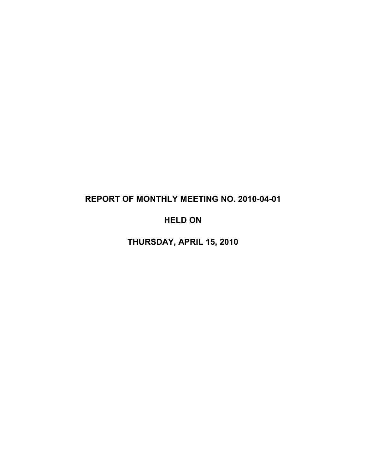# **REPORT OF MONTHLY MEETING NO. 2010-04-01**

# **HELD ON**

**THURSDAY, APRIL 15, 2010**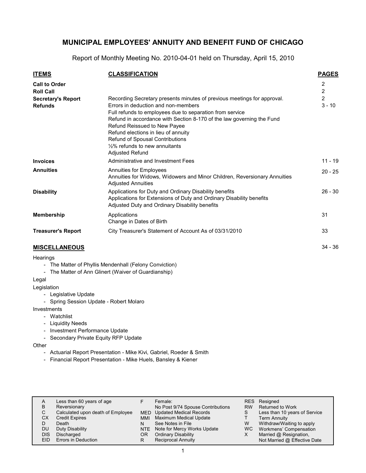Report of Monthly Meeting No. 2010-04-01 held on Thursday, April 15, 2010

| <b>ITEMS</b>                                | <b>CLASSIFICATION</b>                                                                                                                                                                                                                                                                                                                                                                                                 | <b>PAGES</b>                 |
|---------------------------------------------|-----------------------------------------------------------------------------------------------------------------------------------------------------------------------------------------------------------------------------------------------------------------------------------------------------------------------------------------------------------------------------------------------------------------------|------------------------------|
| <b>Call to Order</b><br><b>Roll Call</b>    |                                                                                                                                                                                                                                                                                                                                                                                                                       | 2<br>$\overline{\mathbf{c}}$ |
| <b>Secretary's Report</b><br><b>Refunds</b> | Recording Secretary presents minutes of previous meetings for approval.<br>Errors in deduction and non-members<br>Full refunds to employees due to separation from service<br>Refund in accordance with Section 8-170 of the law governing the Fund<br>Refund Reissued to New Payee<br>Refund elections in lieu of annuity<br>Refund of Spousal Contributions<br>$1/2\%$ refunds to new annuitants<br>Adjusted Refund | $\overline{2}$<br>$3 - 10$   |
| <b>Invoices</b>                             | Administrative and Investment Fees                                                                                                                                                                                                                                                                                                                                                                                    | $11 - 19$                    |
| <b>Annuities</b>                            | Annuities for Employees<br>Annuities for Widows, Widowers and Minor Children, Reversionary Annuities<br><b>Adjusted Annuities</b>                                                                                                                                                                                                                                                                                     | $20 - 25$                    |
| <b>Disability</b>                           | Applications for Duty and Ordinary Disability benefits<br>Applications for Extensions of Duty and Ordinary Disability benefits<br>Adjusted Duty and Ordinary Disability benefits                                                                                                                                                                                                                                      | $26 - 30$                    |
| <b>Membership</b>                           | Applications<br>Change in Dates of Birth                                                                                                                                                                                                                                                                                                                                                                              | 31                           |
| <b>Treasurer's Report</b>                   | City Treasurer's Statement of Account As of 03/31/2010                                                                                                                                                                                                                                                                                                                                                                | 33                           |
| <b>MISCELLANEOUS</b>                        |                                                                                                                                                                                                                                                                                                                                                                                                                       | $34 - 36$                    |

### **MISCELLANEOUS**

#### **Hearings**

- The Matter of Phyllis Mendenhall (Felony Conviction)

- The Matter of Ann Glinert (Waiver of Guardianship)

#### Legal

Legislation

- Legislative Update
- Spring Session Update Robert Molaro

Investments

- Watchlist
- Liquidity Needs
- Investment Performance Update
- Secondary Private Equity RFP Update
- **Other** 
	- Actuarial Report Presentation Mike Kivi, Gabriel, Roeder & Smith
	- Financial Report Presentation Mike Huels, Bansley & Kiener

| A<br>В<br>С<br>СX<br>DU<br><b>DIS</b> | Less than 60 years of age<br>Reversionary<br>Calculated upon death of Employee<br><b>Credit Expires</b><br>Death<br>Duty Disability<br>Discharged | MMI<br>OR | Female:<br>No Post 9/74 Spouse Contributions<br>MED Updated Medical Records<br>Maximum Medical Update<br>See Notes in File<br>NTE Note for Mercy Works Update<br><b>Ordinary Disability</b> | RES<br><b>RW</b><br>W<br>WC. | Resigned<br>Returned to Work<br>Less than 10 years of Service<br><b>Term Annuity</b><br>Withdraw/Waiting to apply<br>Workmens' Compensation<br>Married @ Resignation, |  |
|---------------------------------------|---------------------------------------------------------------------------------------------------------------------------------------------------|-----------|---------------------------------------------------------------------------------------------------------------------------------------------------------------------------------------------|------------------------------|-----------------------------------------------------------------------------------------------------------------------------------------------------------------------|--|
| EID                                   | Errors in Deduction                                                                                                                               |           | <b>Reciprocal Annuity</b>                                                                                                                                                                   |                              | Not Married @ Effective Date                                                                                                                                          |  |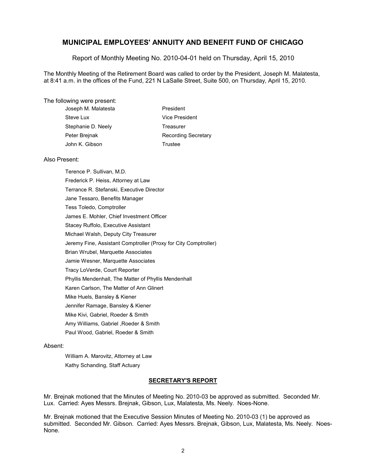Report of Monthly Meeting No. 2010-04-01 held on Thursday, April 15, 2010

The Monthly Meeting of the Retirement Board was called to order by the President, Joseph M. Malatesta, at 8:41 a.m. in the offices of the Fund, 221 N LaSalle Street, Suite 500, on Thursday, April 15, 2010.

#### The following were present:

| Joseph M. Malatesta | President                  |
|---------------------|----------------------------|
| Steve Lux           | Vice President             |
| Stephanie D. Neely  | Treasurer                  |
| Peter Breinak       | <b>Recording Secretary</b> |
| John K. Gibson      | Trustee                    |
|                     |                            |

#### Also Present:

Terence P. Sullivan, M.D. Frederick P. Heiss, Attorney at Law Terrance R. Stefanski, Executive Director Jane Tessaro, Benefits Manager Tess Toledo, Comptroller James E. Mohler, Chief Investment Officer Stacey Ruffolo, Executive Assistant Michael Walsh, Deputy City Treasurer Jeremy Fine, Assistant Comptroller (Proxy for City Comptroller) Brian Wrubel, Marquette Associates Jamie Wesner, Marquette Associates Tracy LoVerde, Court Reporter Phyllis Mendenhall, The Matter of Phyllis Mendenhall Karen Carlson, The Matter of Ann Glinert Mike Huels, Bansley & Kiener Jennifer Ramage, Bansley & Kiener Mike Kivi, Gabriel, Roeder & Smith Amy Williams, Gabriel ,Roeder & Smith Paul Wood, Gabriel, Roeder & Smith

#### Absent:

William A. Marovitz, Attorney at Law Kathy Schanding, Staff Actuary

#### **SECRETARY'S REPORT**

Mr. Brejnak motioned that the Minutes of Meeting No. 2010-03 be approved as submitted. Seconded Mr. Lux. Carried: Ayes Messrs. Brejnak, Gibson, Lux, Malatesta, Ms. Neely. Noes-None.

Mr. Brejnak motioned that the Executive Session Minutes of Meeting No. 2010-03 (1) be approved as submitted. Seconded Mr. Gibson. Carried: Ayes Messrs. Brejnak, Gibson, Lux, Malatesta, Ms. Neely. Noes-None.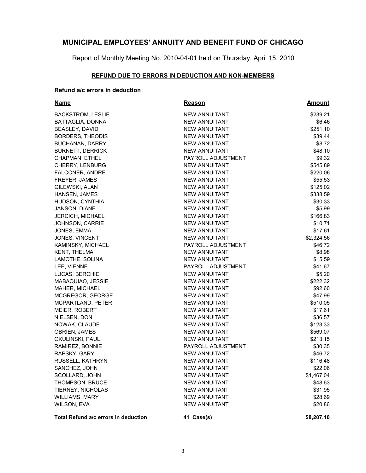Report of Monthly Meeting No. 2010-04-01 held on Thursday, April 15, 2010

### **REFUND DUE TO ERRORS IN DEDUCTION AND NON-MEMBERS**

### **Refund a/c errors in deduction**

| <b>Name</b>                          | <u>Reason</u>        | <u>Amount</u> |
|--------------------------------------|----------------------|---------------|
| <b>BACKSTROM, LESLIE</b>             | <b>NEW ANNUITANT</b> | \$239.21      |
| BATTAGLIA, DONNA                     | <b>NEW ANNUITANT</b> | \$6.46        |
| BEASLEY, DAVID                       | <b>NEW ANNUITANT</b> | \$251.10      |
| <b>BORDERS, THEODIS</b>              | <b>NEW ANNUITANT</b> | \$39.44       |
| <b>BUCHANAN, DARRYL</b>              | <b>NEW ANNUITANT</b> | \$8.72        |
| <b>BURNETT, DERRICK</b>              | <b>NEW ANNUITANT</b> | \$48.10       |
| CHAPMAN, ETHEL                       | PAYROLL ADJUSTMENT   | \$9.32        |
| <b>CHERRY, LENBURG</b>               | <b>NEW ANNUITANT</b> | \$545.89      |
| <b>FALCONER, ANDRE</b>               | <b>NEW ANNUITANT</b> | \$220.06      |
| FREYER, JAMES                        | <b>NEW ANNUITANT</b> | \$55.53       |
| GILEWSKI, ALAN                       | <b>NEW ANNUITANT</b> | \$125.02      |
| HANSEN, JAMES                        | <b>NEW ANNUITANT</b> | \$338.59      |
| HUDSON, CYNTHIA                      | <b>NEW ANNUITANT</b> | \$30.33       |
| <b>JANSON, DIANE</b>                 | <b>NEW ANNUITANT</b> | \$5.99        |
| <b>JERCICH, MICHAEL</b>              | <b>NEW ANNUITANT</b> | \$166.83      |
| <b>JOHNSON, CARRIE</b>               | <b>NEW ANNUITANT</b> | \$10.71       |
| JONES, EMMA                          | <b>NEW ANNUITANT</b> | \$17.61       |
| <b>JONES, VINCENT</b>                | <b>NEW ANNUITANT</b> | \$2,324.56    |
| KAMINSKY, MICHAEL                    | PAYROLL ADJUSTMENT   | \$46.72       |
| <b>KENT, THELMA</b>                  | <b>NEW ANNUITANT</b> | \$8.98        |
| LAMOTHE, SOLINA                      | NEW ANNUITANT        | \$15.59       |
| LEE, VIENNE                          | PAYROLL ADJUSTMENT   | \$41.67       |
| LUCAS, BERCHIE                       | <b>NEW ANNUITANT</b> | \$5.20        |
| MABAQUIAO, JESSIE                    | <b>NEW ANNUITANT</b> | \$222.32      |
| MAHER, MICHAEL                       | <b>NEW ANNUITANT</b> | \$92.60       |
| MCGREGOR, GEORGE                     | NEW ANNUITANT        | \$47.99       |
| MCPARTLAND, PETER                    | NEW ANNUITANT        | \$510.05      |
| MEIER, ROBERT                        | <b>NEW ANNUITANT</b> | \$17.61       |
| NIELSEN, DON                         | NEW ANNUITANT        | \$36.57       |
| NOWAK, CLAUDE                        | NEW ANNUITANT        | \$123.33      |
| <b>OBRIEN, JAMES</b>                 | <b>NEW ANNUITANT</b> | \$569.07      |
| OKULINSKI, PAUL                      | <b>NEW ANNUITANT</b> | \$213.15      |
| RAMIREZ, BONNIE                      | PAYROLL ADJUSTMENT   | \$30.35       |
| RAPSKY, GARY                         | <b>NEW ANNUITANT</b> | \$46.72       |
| RUSSELL, KATHRYN                     | <b>NEW ANNUITANT</b> | \$116.48      |
| SANCHEZ, JOHN                        | NEW ANNUITANT        | \$22.06       |
| SCOLLARD, JOHN                       | <b>NEW ANNUITANT</b> | \$1,467.04    |
| THOMPSON, BRUCE                      | <b>NEW ANNUITANT</b> | \$48.63       |
| TIERNEY, NICHOLAS                    | <b>NEW ANNUITANT</b> | \$31.95       |
| WILLIAMS, MARY                       | <b>NEW ANNUITANT</b> | \$28.69       |
| WILSON, EVA                          | <b>NEW ANNUITANT</b> | \$20.86       |
| Total Refund a/c errors in deduction | 41 Case(s)           | \$8,207.10    |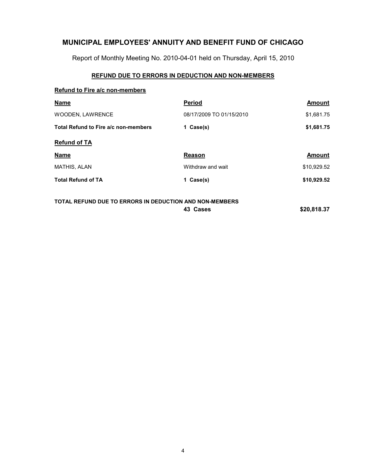Report of Monthly Meeting No. 2010-04-01 held on Thursday, April 15, 2010

### **REFUND DUE TO ERRORS IN DEDUCTION AND NON-MEMBERS**

#### **Refund to Fire a/c non-members**

| <b>Name</b>                          | <b>Period</b>            | <b>Amount</b> |
|--------------------------------------|--------------------------|---------------|
| <b>WOODEN, LAWRENCE</b>              | 08/17/2009 TO 01/15/2010 | \$1,681.75    |
| Total Refund to Fire a/c non-members | 1 Case(s)                | \$1,681.75    |
| <b>Refund of TA</b>                  |                          |               |
| <b>Name</b>                          | Reason                   | Amount        |
| <b>MATHIS, ALAN</b>                  | Withdraw and wait        | \$10,929.52   |
| <b>Total Refund of TA</b>            | 1 Case(s)                | \$10,929.52   |
|                                      |                          |               |

### **TOTAL REFUND DUE TO ERRORS IN DEDUCTION AND NON-MEMBERS 43 Cases \$20,818.37**

4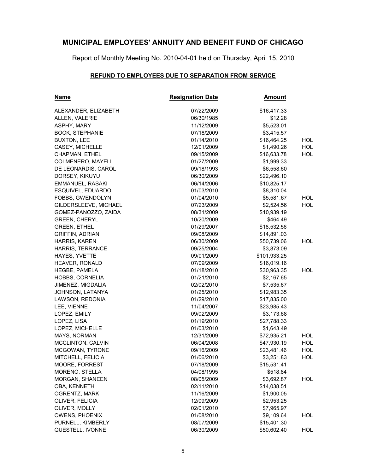Report of Monthly Meeting No. 2010-04-01 held on Thursday, April 15, 2010

### **REFUND TO EMPLOYEES DUE TO SEPARATION FROM SERVICE**

| <u>Name</u>            | <b>Resignation Date</b> | <u>Amount</u> |            |
|------------------------|-------------------------|---------------|------------|
| ALEXANDER, ELIZABETH   | 07/22/2009              | \$16,417.33   |            |
| ALLEN, VALERIE         | 06/30/1985              | \$12.28       |            |
| ASPHY, MARY            | 11/12/2009              | \$5,523.01    |            |
| <b>BOOK, STEPHANIE</b> | 07/18/2009              | \$3,415.57    |            |
| <b>BUXTON, LEE</b>     | 01/14/2010              | \$16,464.25   | <b>HOL</b> |
| CASEY, MICHELLE        | 12/01/2009              | \$1,490.26    | <b>HOL</b> |
| CHAPMAN, ETHEL         | 09/15/2009              | \$16,633.78   | <b>HOL</b> |
| COLMENERO, MAYELI      | 01/27/2009              | \$1,999.33    |            |
| DE LEONARDIS, CAROL    | 09/18/1993              | \$6,558.60    |            |
| DORSEY, KIKUYU         | 06/30/2009              | \$22,496.10   |            |
| EMMANUEL, RASAKI       | 06/14/2006              | \$10,825.17   |            |
| ESQUIVEL, EDUARDO      | 01/03/2010              | \$8,310.04    |            |
| FOBBS, GWENDOLYN       | 01/04/2010              | \$5,581.67    | <b>HOL</b> |
| GILDERSLEEVE, MICHAEL  | 07/23/2009              | \$2,524.56    | <b>HOL</b> |
| GOMEZ-PANOZZO, ZAIDA   | 08/31/2009              | \$10,939.19   |            |
| <b>GREEN, CHERYL</b>   | 10/20/2009              | \$464.49      |            |
| <b>GREEN, ETHEL</b>    | 01/29/2007              | \$18,532.56   |            |
| <b>GRIFFIN, ADRIAN</b> | 09/08/2009              | \$14,891.03   |            |
| HARRIS, KAREN          | 06/30/2009              | \$50,739.06   | HOL        |
| HARRIS, TERRANCE       | 09/25/2004              | \$3,873.09    |            |
| HAYES, YVETTE          | 09/01/2009              | \$101,933.25  |            |
| HEAVER, RONALD         | 07/09/2009              | \$16,019.16   |            |
| <b>HEGBE, PAMELA</b>   | 01/18/2010              | \$30,963.35   | <b>HOL</b> |
| HOBBS, CORNELIA        | 01/21/2010              | \$2,167.65    |            |
| JIMENEZ, MIGDALIA      | 02/02/2010              | \$7,535.67    |            |
| JOHNSON, LATANYA       | 01/25/2010              | \$12,983.35   |            |
| LAWSON, REDONIA        | 01/29/2010              | \$17,835.00   |            |
| LEE, VIENNE            | 11/04/2007              | \$23,985.43   |            |
| LOPEZ, EMILY           | 09/02/2009              | \$3,173.68    |            |
| LOPEZ, LISA            | 01/19/2010              | \$27,788.33   |            |
| LOPEZ, MICHELLE        | 01/03/2010              | \$1,643.49    |            |
| MAYS, NORMAN           | 12/31/2009              | \$72,935.21   | <b>HOL</b> |
| MCCLINTON, CALVIN      | 06/04/2008              | \$47,930.19   | <b>HOL</b> |
| MCGOWAN, TYRONE        | 09/16/2009              | \$23,481.46   | <b>HOL</b> |
| MITCHELL, FELICIA      | 01/06/2010              | \$3,251.83    | <b>HOL</b> |
| MOORE, FORREST         | 07/18/2009              | \$15,531.41   |            |
| MORENO, STELLA         | 04/08/1995              | \$518.84      |            |
| MORGAN, SHANEEN        | 08/05/2009              | \$3,692.87    | <b>HOL</b> |
| OBA, KENNETH           | 02/11/2010              | \$14,038.51   |            |
| OGRENTZ, MARK          | 11/16/2009              | \$1,900.05    |            |
| OLIVER, FELICIA        | 12/09/2009              | \$2,953.25    |            |
| OLIVER, MOLLY          | 02/01/2010              | \$7,965.97    |            |
| <b>OWENS, PHOENIX</b>  | 01/08/2010              | \$9,109.64    | <b>HOL</b> |
| PURNELL, KIMBERLY      | 08/07/2009              | \$15,401.30   |            |
| QUESTELL, IVONNE       | 06/30/2009              | \$50,602.40   | <b>HOL</b> |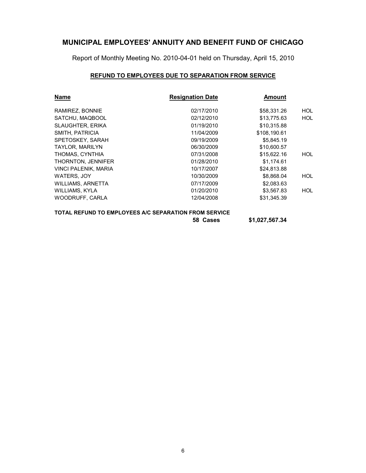Report of Monthly Meeting No. 2010-04-01 held on Thursday, April 15, 2010

### **REFUND TO EMPLOYEES DUE TO SEPARATION FROM SERVICE**

| <b>Name</b>             | <b>Resignation Date</b> | <b>Amount</b> |            |
|-------------------------|-------------------------|---------------|------------|
| RAMIREZ, BONNIE         | 02/17/2010              | \$58.331.26   | HOL        |
| SATCHU, MAQBOOL         | 02/12/2010              | \$13,775.63   | <b>HOL</b> |
| <b>SLAUGHTER, ERIKA</b> | 01/19/2010              | \$10.315.88   |            |
| SMITH, PATRICIA         | 11/04/2009              | \$108,190.61  |            |
| SPETOSKEY, SARAH        | 09/19/2009              | \$5,845.19    |            |
| <b>TAYLOR, MARILYN</b>  | 06/30/2009              | \$10,600.57   |            |
| THOMAS, CYNTHIA         | 07/31/2008              | \$15,622.16   | HOL        |
| THORNTON, JENNIFER      | 01/28/2010              | \$1.174.61    |            |
| VINCI PALENIK, MARIA    | 10/17/2007              | \$24,813.88   |            |
| <b>WATERS, JOY</b>      | 10/30/2009              | \$8.868.04    | <b>HOL</b> |
| WILLIAMS, ARNETTA       | 07/17/2009              | \$2,083.63    |            |
| WILLIAMS, KYLA          | 01/20/2010              | \$3,567.83    | <b>HOL</b> |
| WOODRUFF, CARLA         | 12/04/2008              | \$31,345.39   |            |

| TOTAL REFUND TO EMPLOYEES A/C SEPARATION FROM SERVICE |
|-------------------------------------------------------|
|-------------------------------------------------------|

**58 Cases \$1,027,567.34**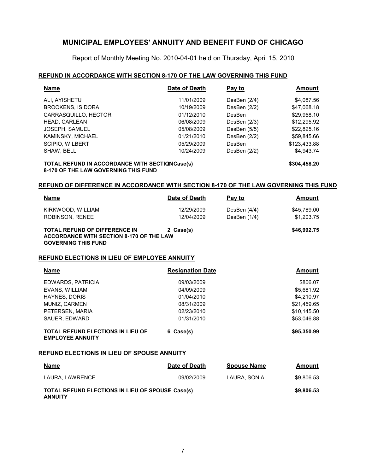Report of Monthly Meeting No. 2010-04-01 held on Thursday, April 15, 2010

#### **REFUND IN ACCORDANCE WITH SECTION 8-170 OF THE LAW GOVERNING THIS FUND**

| <b>Name</b>                                     | Date of Death | Pay to         | Amount       |
|-------------------------------------------------|---------------|----------------|--------------|
| ALI, AYISHETU                                   | 11/01/2009    | DesBen (2/4)   | \$4,087.56   |
| <b>BROOKENS, ISIDORA</b>                        | 10/19/2009    | DesBen $(2/2)$ | \$47,068.18  |
| CARRASQUILLO, HECTOR                            | 01/12/2010    | DesBen         | \$29,958.10  |
| <b>HEAD, CARLEAN</b>                            | 06/08/2009    | DesBen $(2/3)$ | \$12,295.92  |
| <b>JOSEPH. SAMUEL</b>                           | 05/08/2009    | DesBen $(5/5)$ | \$22,825.16  |
| KAMINSKY, MICHAEL                               | 01/21/2010    | DesBen (2/2)   | \$59,845.66  |
| <b>SCIPIO, WILBERT</b>                          | 05/29/2009    | DesBen         | \$123.433.88 |
| SHAW, BELL                                      | 10/24/2009    | DesBen $(2/2)$ | \$4,943.74   |
| TOTAL REFUND IN ACCORDANCE WITH SECTION Case(s) |               |                | \$304,458.20 |

**8-170 OF THE LAW GOVERNING THIS FUND**

#### **REFUND OF DIFFERENCE IN ACCORDANCE WITH SECTION 8-170 OF THE LAW GOVERNING THIS FUND**

| <b>Name</b>                                                                                                    | Date of Death            | Pay to                         | Amount                    |
|----------------------------------------------------------------------------------------------------------------|--------------------------|--------------------------------|---------------------------|
| KIRKWOOD, WILLIAM<br>ROBINSON, RENEE                                                                           | 12/29/2009<br>12/04/2009 | DesBen $(4/4)$<br>DesBen (1/4) | \$45,789.00<br>\$1,203.75 |
| <b>TOTAL REFUND OF DIFFERENCE IN</b><br>ACCORDANCE WITH SECTION 8-170 OF THE LAW<br><b>GOVERNING THIS FUND</b> | 2 Case(s)                |                                | \$46,992.75               |

#### **REFUND ELECTIONS IN LIEU OF EMPLOYEE ANNUITY**

| <b>Name</b>                                                         | <b>Resignation Date</b> | <b>Amount</b> |
|---------------------------------------------------------------------|-------------------------|---------------|
| EDWARDS, PATRICIA                                                   | 09/03/2009              | \$806.07      |
| EVANS, WILLIAM                                                      | 04/09/2009              | \$5,681.92    |
| <b>HAYNES, DORIS</b>                                                | 01/04/2010              | \$4.210.97    |
| MUNIZ. CARMEN                                                       | 08/31/2009              | \$21,459.65   |
| PETERSEN, MARIA                                                     | 02/23/2010              | \$10,145.50   |
| SAUER, EDWARD                                                       | 01/31/2010              | \$53,046.88   |
| <b>TOTAL REFUND ELECTIONS IN LIEU OF</b><br><b>EMPLOYEE ANNUITY</b> | 6 Case(s)               | \$95,350.99   |

#### **REFUND ELECTIONS IN LIEU OF SPOUSE ANNUITY**

| <u>Name</u>                                                               | Date of Death | <b>Spouse Name</b> | Amount     |
|---------------------------------------------------------------------------|---------------|--------------------|------------|
| LAURA, LAWRENCE                                                           | 09/02/2009    | LAURA, SONIA       | \$9.806.53 |
| <b>TOTAL REFUND ELECTIONS IN LIEU OF SPOUSE Case(s)</b><br><b>ANNUITY</b> |               |                    | \$9,806.53 |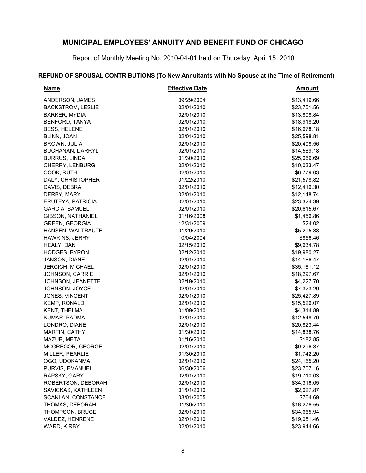Report of Monthly Meeting No. 2010-04-01 held on Thursday, April 15, 2010

# **REFUND OF SPOUSAL CONTRIBUTIONS (To New Annuitants with No Spouse at the Time of Retirement)**

| <b>Name</b>              | <b>Effective Date</b> | <u>Amount</u> |
|--------------------------|-----------------------|---------------|
| ANDERSON, JAMES          | 09/29/2004            | \$13,419.66   |
| <b>BACKSTROM, LESLIE</b> | 02/01/2010            | \$23,751.56   |
| <b>BARKER, MYDIA</b>     | 02/01/2010            | \$13,808.84   |
| BENFORD, TANYA           | 02/01/2010            | \$18,918.20   |
| <b>BESS, HELENE</b>      | 02/01/2010            | \$16,678.18   |
| BLINN, JOAN              | 02/01/2010            | \$25,598.81   |
| BROWN, JULIA             | 02/01/2010            | \$20,408.56   |
| <b>BUCHANAN, DARRYL</b>  | 02/01/2010            | \$14,589.18   |
| <b>BURRUS, LINDA</b>     | 01/30/2010            | \$25,069.69   |
| CHERRY, LENBURG          | 02/01/2010            | \$10,033.47   |
| COOK, RUTH               | 02/01/2010            | \$6,779.03    |
| DALY, CHRISTOPHER        | 01/22/2010            | \$21,578.82   |
| DAVIS, DEBRA             | 02/01/2010            | \$12,416.30   |
| DERBY, MARY              | 02/01/2010            | \$12,148.74   |
| ERUTEYA, PATRICIA        | 02/01/2010            | \$23,324.39   |
| <b>GARCIA, SAMUEL</b>    | 02/01/2010            | \$20,615.67   |
| <b>GIBSON, NATHANIEL</b> | 01/16/2008            | \$1,456.86    |
| <b>GREEN, GEORGIA</b>    | 12/31/2009            | \$24.02       |
| HANSEN, WALTRAUTE        | 01/29/2010            | \$5,205.38    |
| <b>HAWKINS, JERRY</b>    | 10/04/2004            | \$856.46      |
| HEALY, DAN               | 02/15/2010            | \$9,634.78    |
| <b>HODGES, BYRON</b>     | 02/12/2010            | \$19,980.27   |
| JANSON, DIANE            | 02/01/2010            | \$14,166.47   |
| JERCICH, MICHAEL         | 02/01/2010            | \$35,161.12   |
| <b>JOHNSON, CARRIE</b>   | 02/01/2010            | \$18,297.67   |
| JOHNSON, JEANETTE        | 02/19/2010            | \$4,227.70    |
| JOHNSON, JOYCE           | 02/01/2010            | \$7,323.29    |
| JONES, VINCENT           | 02/01/2010            | \$25,427.89   |
| <b>KEMP, RONALD</b>      | 02/01/2010            | \$15,526.07   |
| KENT, THELMA             | 01/09/2010            | \$4,314.89    |
| KUMAR, PADMA             | 02/01/2010            | \$12,548.70   |
| LONDRO, DIANE            | 02/01/2010            | \$20,823.44   |
| <b>MARTIN, CATHY</b>     | 01/30/2010            | \$14,838.76   |
| MAZUR, META              | 01/16/2010            | \$182.85      |
| MCGREGOR, GEORGE         | 02/01/2010            | \$9,296.37    |
| MILLER, PEARLIE          | 01/30/2010            | \$1,742.20    |
| OGO, UDOKANMA            | 02/01/2010            | \$24,165.20   |
| PURVIS, EMANUEL          | 06/30/2006            | \$23,707.16   |
| RAPSKY, GARY             | 02/01/2010            | \$19,710.03   |
| ROBERTSON, DEBORAH       | 02/01/2010            | \$34,316.05   |
| SAVICKAS, KATHLEEN       | 01/01/2010            | \$2,027.87    |
| SCANLAN, CONSTANCE       | 03/01/2005            | \$764.69      |
| THOMAS, DEBORAH          | 01/30/2010            | \$16,276.55   |
| THOMPSON, BRUCE          | 02/01/2010            | \$34,665.94   |
| VALDEZ, HENRENE          | 02/01/2010            | \$19,081.46   |
| WARD, KIRBY              | 02/01/2010            | \$23,944.66   |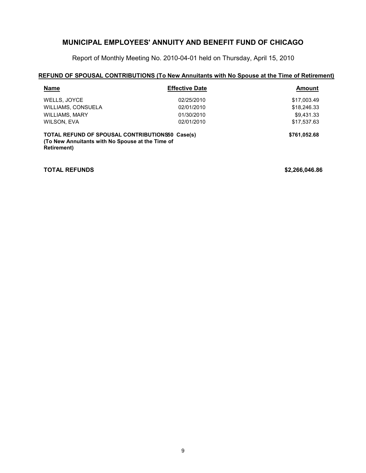Report of Monthly Meeting No. 2010-04-01 held on Thursday, April 15, 2010

### **REFUND OF SPOUSAL CONTRIBUTIONS (To New Annuitants with No Spouse at the Time of Retirement)**

| <b>Name</b>                                                                                                                       | <b>Effective Date</b> | <b>Amount</b> |
|-----------------------------------------------------------------------------------------------------------------------------------|-----------------------|---------------|
| WELLS, JOYCE                                                                                                                      | 02/25/2010            | \$17,003.49   |
| WILLIAMS, CONSUELA                                                                                                                | 02/01/2010            | \$18,246.33   |
| <b>WILLIAMS, MARY</b>                                                                                                             | 01/30/2010            | \$9.431.33    |
| WILSON, EVA                                                                                                                       | 02/01/2010            | \$17,537.63   |
| <b>TOTAL REFUND OF SPOUSAL CONTRIBUTIONS50 Case(s)</b><br>(To New Annuitants with No Spouse at the Time of<br><b>Retirement</b> ) |                       | \$761,052.68  |

**TOTAL REFUNDS \$2,266,046.86**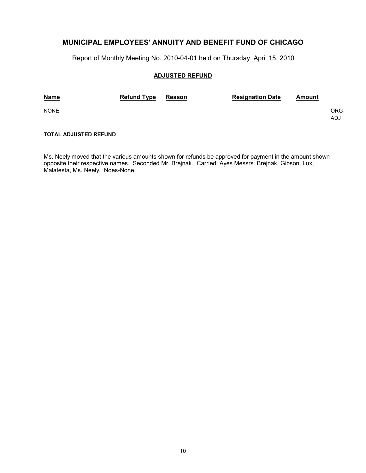Report of Monthly Meeting No. 2010-04-01 held on Thursday, April 15, 2010

#### **ADJUSTED REFUND**

| <b>Name</b> | <b>Refund Type</b> | Reason | <b>Resignation Date</b> | Amount |            |
|-------------|--------------------|--------|-------------------------|--------|------------|
| <b>NONE</b> |                    |        |                         |        | ORG<br>ADJ |

### **TOTAL ADJUSTED REFUND**

Ms. Neely moved that the various amounts shown for refunds be approved for payment in the amount shown opposite their respective names. Seconded Mr. Brejnak. Carried: Ayes Messrs. Brejnak, Gibson, Lux, Malatesta, Ms. Neely. Noes-None.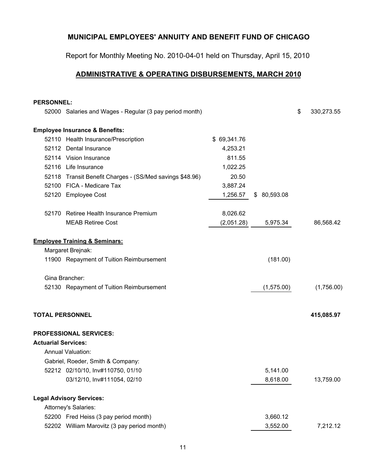Report for Monthly Meeting No. 2010-04-01 held on Thursday, April 15, 2010

# **ADMINISTRATIVE & OPERATING DISBURSEMENTS, MARCH 2010**

| <b>PERSONNEL:</b>          |                                                          |             |              |                  |
|----------------------------|----------------------------------------------------------|-------------|--------------|------------------|
|                            | 52000 Salaries and Wages - Regular (3 pay period month)  |             |              | \$<br>330,273.55 |
|                            | <b>Employee Insurance &amp; Benefits:</b>                |             |              |                  |
|                            | 52110 Health Insurance/Prescription                      | \$69,341.76 |              |                  |
|                            | 52112 Dental Insurance                                   | 4,253.21    |              |                  |
|                            | 52114 Vision Insurance                                   | 811.55      |              |                  |
|                            | 52116 Life Insurance                                     | 1,022.25    |              |                  |
|                            | 52118 Transit Benefit Charges - (SS/Med savings \$48.96) | 20.50       |              |                  |
|                            | 52100 FICA - Medicare Tax                                | 3,887.24    |              |                  |
|                            | 52120 Employee Cost                                      | 1,256.57    | \$ 80,593.08 |                  |
|                            | 52170 Retiree Health Insurance Premium                   | 8,026.62    |              |                  |
|                            | <b>MEAB Retiree Cost</b>                                 | (2,051.28)  | 5,975.34     | 86,568.42        |
|                            | <b>Employee Training &amp; Seminars:</b>                 |             |              |                  |
|                            | Margaret Brejnak:                                        |             |              |                  |
|                            | 11900 Repayment of Tuition Reimbursement                 |             | (181.00)     |                  |
|                            | Gina Brancher:                                           |             |              |                  |
|                            | 52130 Repayment of Tuition Reimbursement                 |             | (1, 575.00)  | (1,756.00)       |
| <b>TOTAL PERSONNEL</b>     |                                                          |             |              | 415,085.97       |
|                            | <b>PROFESSIONAL SERVICES:</b>                            |             |              |                  |
| <b>Actuarial Services:</b> |                                                          |             |              |                  |
|                            | <b>Annual Valuation:</b>                                 |             |              |                  |
|                            | Gabriel, Roeder, Smith & Company:                        |             |              |                  |
|                            | 52212 02/10/10, Inv#110750, 01/10                        |             | 5,141.00     |                  |
|                            | 03/12/10, Inv#111054, 02/10                              |             | 8,618.00     | 13,759.00        |
|                            | <b>Legal Advisory Services:</b>                          |             |              |                  |
|                            | Attorney's Salaries:                                     |             |              |                  |
|                            | 52200 Fred Heiss (3 pay period month)                    |             | 3,660.12     |                  |
|                            | 52202 William Marovitz (3 pay period month)              |             | 3,552.00     | 7,212.12         |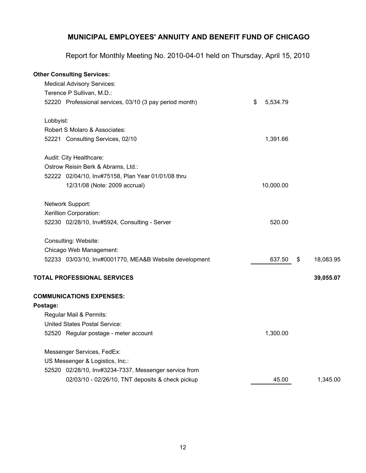Report for Monthly Meeting No. 2010-04-01 held on Thursday, April 15, 2010

## **Other Consulting Services:**

|           | <b>Medical Advisory Services:</b>                       |                |                 |
|-----------|---------------------------------------------------------|----------------|-----------------|
|           | Terence P Sullivan, M.D.:                               |                |                 |
|           | 52220 Professional services, 03/10 (3 pay period month) | \$<br>5,534.79 |                 |
| Lobbyist: |                                                         |                |                 |
|           | Robert S Molaro & Associates:                           |                |                 |
|           | 52221 Consulting Services, 02/10                        | 1,391.66       |                 |
|           | Audit: City Healthcare:                                 |                |                 |
|           | Ostrow Reisin Berk & Abrams, Ltd.:                      |                |                 |
|           | 52222 02/04/10, Inv#75158, Plan Year 01/01/08 thru      |                |                 |
|           | 12/31/08 (Note: 2009 accrual)                           | 10,000.00      |                 |
|           | Network Support:                                        |                |                 |
|           | Xerillion Corporation:                                  |                |                 |
|           | 52230 02/28/10, Inv#5924, Consulting - Server           | 520.00         |                 |
|           | Consulting: Website:                                    |                |                 |
|           | Chicago Web Management:                                 |                |                 |
|           | 52233 03/03/10, Inv#0001770, MEA&B Website development  | 637.50         | \$<br>18,083.95 |
|           | <b>TOTAL PROFESSIONAL SERVICES</b>                      |                | 39,055.07       |
|           | <b>COMMUNICATIONS EXPENSES:</b>                         |                |                 |
| Postage:  |                                                         |                |                 |
|           | Regular Mail & Permits:                                 |                |                 |
|           | <b>United States Postal Service:</b>                    |                |                 |
|           | 52520 Regular postage - meter account                   | 1,300.00       |                 |
|           | Messenger Services, FedEx:                              |                |                 |
|           | US Messenger & Logistics, Inc.:                         |                |                 |
|           | 52520 02/28/10, Inv#3234-7337, Messenger service from   |                |                 |
|           | 02/03/10 - 02/26/10, TNT deposits & check pickup        | 45.00          | 1,345.00        |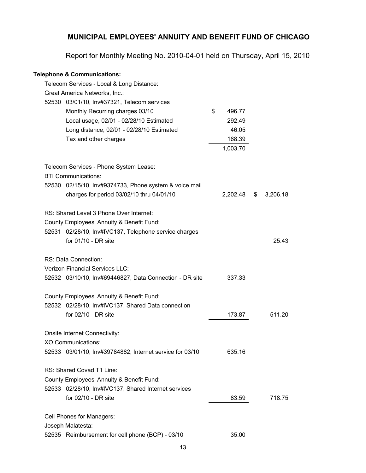Report for Monthly Meeting No. 2010-04-01 held on Thursday, April 15, 2010

## **Telephone & Communications:**

| Telecom Services - Local & Long Distance:                |              |                |
|----------------------------------------------------------|--------------|----------------|
| Great America Networks, Inc.:                            |              |                |
| 52530 03/01/10, Inv#37321, Telecom services              |              |                |
| Monthly Recurring charges 03/10                          | \$<br>496.77 |                |
| Local usage, 02/01 - 02/28/10 Estimated                  | 292.49       |                |
| Long distance, 02/01 - 02/28/10 Estimated                | 46.05        |                |
| Tax and other charges                                    | 168.39       |                |
|                                                          | 1,003.70     |                |
|                                                          |              |                |
| Telecom Services - Phone System Lease:                   |              |                |
| <b>BTI Communications:</b>                               |              |                |
| 52530 02/15/10, Inv#9374733, Phone system & voice mail   |              |                |
| charges for period 03/02/10 thru 04/01/10                | 2,202.48     | \$<br>3,206.18 |
|                                                          |              |                |
| RS: Shared Level 3 Phone Over Internet:                  |              |                |
| County Employees' Annuity & Benefit Fund:                |              |                |
| 52531 02/28/10, Inv#IVC137, Telephone service charges    |              |                |
| for 01/10 - DR site                                      |              | 25.43          |
|                                                          |              |                |
| RS: Data Connection:                                     |              |                |
| <b>Verizon Financial Services LLC:</b>                   |              |                |
| 52532 03/10/10, Inv#69446827, Data Connection - DR site  | 337.33       |                |
|                                                          |              |                |
| County Employees' Annuity & Benefit Fund:                |              |                |
| 52532 02/28/10, Inv#IVC137, Shared Data connection       |              |                |
| for 02/10 - DR site                                      | 173.87       | 511.20         |
|                                                          |              |                |
| Onsite Internet Connectivity:                            |              |                |
| <b>XO Communications:</b>                                |              |                |
| 52533 03/01/10, Inv#39784882, Internet service for 03/10 | 635.16       |                |
|                                                          |              |                |
| RS: Shared Covad T1 Line:                                |              |                |
| County Employees' Annuity & Benefit Fund:                |              |                |
| 52533 02/28/10, Inv#IVC137, Shared Internet services     |              |                |
| for 02/10 - DR site                                      | 83.59        | 718.75         |
|                                                          |              |                |
| Cell Phones for Managers:                                |              |                |
| Joseph Malatesta:                                        |              |                |
| 52535 Reimbursement for cell phone (BCP) - 03/10         | 35.00        |                |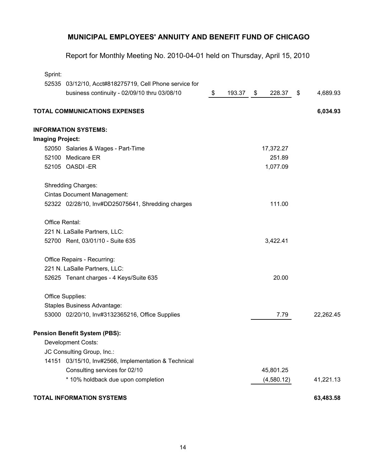Report for Monthly Meeting No. 2010-04-01 held on Thursday, April 15, 2010

| Sprint:                 |                                                        |              |              |                |
|-------------------------|--------------------------------------------------------|--------------|--------------|----------------|
|                         | 52535 03/12/10, Acct#818275719, Cell Phone service for |              |              |                |
|                         | business continuity - 02/09/10 thru 03/08/10           | \$<br>193.37 | \$<br>228.37 | \$<br>4,689.93 |
|                         | <b>TOTAL COMMUNICATIONS EXPENSES</b>                   |              |              | 6,034.93       |
|                         | <b>INFORMATION SYSTEMS:</b>                            |              |              |                |
| <b>Imaging Project:</b> |                                                        |              |              |                |
|                         | 52050 Salaries & Wages - Part-Time                     |              | 17,372.27    |                |
| 52100                   | Medicare ER                                            |              | 251.89       |                |
|                         | 52105 OASDI-ER                                         |              | 1,077.09     |                |
|                         | <b>Shredding Charges:</b>                              |              |              |                |
|                         | <b>Cintas Document Management:</b>                     |              |              |                |
|                         | 52322 02/28/10, Inv#DD25075641, Shredding charges      |              | 111.00       |                |
| Office Rental:          |                                                        |              |              |                |
|                         | 221 N. LaSalle Partners, LLC:                          |              |              |                |
|                         | 52700 Rent, 03/01/10 - Suite 635                       |              | 3,422.41     |                |
|                         | Office Repairs - Recurring:                            |              |              |                |
|                         | 221 N. LaSalle Partners, LLC:                          |              |              |                |
|                         | 52625 Tenant charges - 4 Keys/Suite 635                |              | 20.00        |                |
|                         | Office Supplies:                                       |              |              |                |
|                         | Staples Business Advantage:                            |              |              |                |
|                         | 53000 02/20/10, Inv#3132365216, Office Supplies        |              | 7.79         | 22,262.45      |
|                         | <b>Pension Benefit System (PBS):</b>                   |              |              |                |
|                         | <b>Development Costs:</b>                              |              |              |                |
|                         | JC Consulting Group, Inc.:                             |              |              |                |
|                         | 14151 03/15/10, Inv#2566, Implementation & Technical   |              |              |                |
|                         | Consulting services for 02/10                          |              | 45,801.25    |                |
|                         | * 10% holdback due upon completion                     |              | (4,580.12)   | 41,221.13      |
|                         | <b>TOTAL INFORMATION SYSTEMS</b>                       |              |              | 63,483.58      |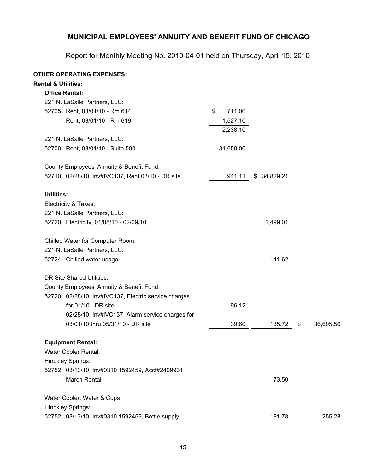Report for Monthly Meeting No. 2010-04-01 held on Thursday, April 15, 2010

## **OTHER OPERATING EXPENSES:**

| <b>Rental &amp; Utilities:</b>                       |              |              |                 |
|------------------------------------------------------|--------------|--------------|-----------------|
| <b>Office Rental:</b>                                |              |              |                 |
| 221 N. LaSalle Partners, LLC:                        |              |              |                 |
| 52705 Rent, 03/01/10 - Rm 614                        | 711.00<br>\$ |              |                 |
| Rent, 03/01/10 - Rm 619                              | 1,527.10     |              |                 |
|                                                      | 2,238.10     |              |                 |
| 221 N. LaSalle Partners, LLC:                        |              |              |                 |
| 52700 Rent, 03/01/10 - Suite 500                     | 31,650.00    |              |                 |
| County Employees' Annuity & Benefit Fund:            |              |              |                 |
| 52710 02/28/10, Inv#IVC137, Rent 03/10 - DR site     | 941.11       | \$ 34,829.21 |                 |
| <b>Utilities:</b>                                    |              |              |                 |
| Electricity & Taxes:                                 |              |              |                 |
| 221 N. LaSalle Partners, LLC:                        |              |              |                 |
| 52720 Electricity, 01/08/10 - 02/09/10               |              | 1,499.01     |                 |
| Chilled Water for Computer Room:                     |              |              |                 |
| 221 N. LaSalle Partners, LLC:                        |              |              |                 |
| 52724 Chilled water usage                            |              | 141.62       |                 |
| <b>DR Site Shared Utilities:</b>                     |              |              |                 |
| County Employees' Annuity & Benefit Fund:            |              |              |                 |
| 52720 02/28/10, Inv#IVC137, Electric service charges |              |              |                 |
| for 01/10 - DR site                                  | 96.12        |              |                 |
| 02/28/10, Inv#IVC137, Alarm service charges for      |              |              |                 |
| 03/01/10 thru 05/31/10 - DR site                     | 39.60        | 135.72       | \$<br>36,605.56 |
| <b>Equipment Rental:</b>                             |              |              |                 |
| Water Cooler Rental:                                 |              |              |                 |
| Hinckley Springs:                                    |              |              |                 |
| 52752 03/13/10, Inv#0310 1592459, Acct#2409931       |              |              |                 |
| <b>March Rental</b>                                  |              | 73.50        |                 |
| Water Cooler: Water & Cups                           |              |              |                 |
| Hinckley Springs:                                    |              |              |                 |
| 52752 03/13/10, Inv#0310 1592459, Bottle supply      |              | 181.78       | 255.28          |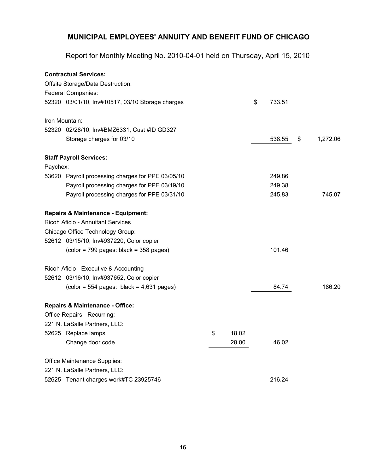Report for Monthly Meeting No. 2010-04-01 held on Thursday, April 15, 2010

|                | <b>Contractual Services:</b>                                                 |             |              |                |
|----------------|------------------------------------------------------------------------------|-------------|--------------|----------------|
|                | Offsite Storage/Data Destruction:                                            |             |              |                |
|                | <b>Federal Companies:</b>                                                    |             |              |                |
|                | 52320 03/01/10, Inv#10517, 03/10 Storage charges                             |             | \$<br>733.51 |                |
| Iron Mountain: |                                                                              |             |              |                |
|                | 52320 02/28/10, Inv#BMZ6331, Cust #ID GD327                                  |             |              |                |
|                | Storage charges for 03/10                                                    |             | 538.55       | \$<br>1,272.06 |
|                | <b>Staff Payroll Services:</b>                                               |             |              |                |
| Paychex:       |                                                                              |             |              |                |
| 53620          | Payroll processing charges for PPE 03/05/10                                  |             | 249.86       |                |
|                | Payroll processing charges for PPE 03/19/10                                  |             | 249.38       |                |
|                | Payroll processing charges for PPE 03/31/10                                  |             | 245.83       | 745.07         |
|                | Repairs & Maintenance - Equipment:                                           |             |              |                |
|                | <b>Ricoh Aficio - Annuitant Services</b>                                     |             |              |                |
|                | Chicago Office Technology Group:                                             |             |              |                |
|                | 52612 03/15/10, Inv#937220, Color copier                                     |             |              |                |
|                | $\left(\text{color} = 799 \text{ pages: black} = 358 \text{ pages}\right)$   |             | 101.46       |                |
|                | Ricoh Aficio - Executive & Accounting                                        |             |              |                |
|                | 52612 03/16/10, Inv#937652, Color copier                                     |             |              |                |
|                | $\left(\text{color} = 554 \text{ pages: black} = 4,631 \text{ pages}\right)$ |             | 84.74        | 186.20         |
|                | <b>Repairs &amp; Maintenance - Office:</b>                                   |             |              |                |
|                | Office Repairs - Recurring:                                                  |             |              |                |
|                | 221 N. LaSalle Partners, LLC:                                                |             |              |                |
|                | 52625 Replace lamps                                                          | \$<br>18.02 |              |                |
|                | Change door code                                                             | 28.00       | 46.02        |                |
|                | Office Maintenance Supplies:                                                 |             |              |                |
|                | 221 N. LaSalle Partners, LLC:                                                |             |              |                |
|                | 52625 Tenant charges work#TC 23925746                                        |             | 216.24       |                |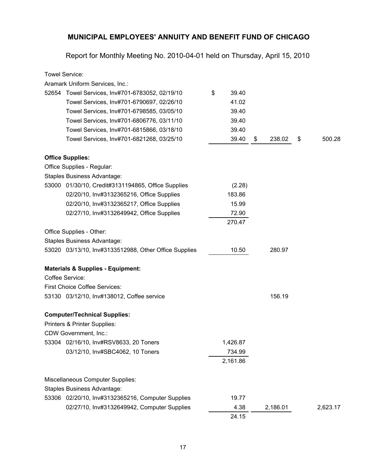Report for Monthly Meeting No. 2010-04-01 held on Thursday, April 15, 2010

| <b>Towel Service:</b>                                 |             |              |              |
|-------------------------------------------------------|-------------|--------------|--------------|
| Aramark Uniform Services, Inc.:                       |             |              |              |
| 52654 Towel Services, Inv#701-6783052, 02/19/10       | \$<br>39.40 |              |              |
| Towel Services, Inv#701-6790697, 02/26/10             | 41.02       |              |              |
| Towel Services, Inv#701-6798585, 03/05/10             | 39.40       |              |              |
| Towel Services, Inv#701-6806776, 03/11/10             | 39.40       |              |              |
| Towel Services, Inv#701-6815866, 03/18/10             | 39.40       |              |              |
| Towel Services, Inv#701-6821268, 03/25/10             | 39.40       | \$<br>238.02 | \$<br>500.28 |
| <b>Office Supplies:</b>                               |             |              |              |
| Office Supplies - Regular:                            |             |              |              |
| Staples Business Advantage:                           |             |              |              |
| 53000 01/30/10, Credit#3131194865, Office Supplies    | (2.28)      |              |              |
| 02/20/10, Inv#3132365216, Office Supplies             | 183.86      |              |              |
| 02/20/10, Inv#3132365217, Office Supplies             | 15.99       |              |              |
| 02/27/10, Inv#3132649942, Office Supplies             | 72.90       |              |              |
|                                                       | 270.47      |              |              |
| Office Supplies - Other:                              |             |              |              |
| Staples Business Advantage:                           |             |              |              |
| 53020 03/13/10, Inv#3133512988, Other Office Supplies | 10.50       | 280.97       |              |
| <b>Materials &amp; Supplies - Equipment:</b>          |             |              |              |
| Coffee Service:                                       |             |              |              |
| <b>First Choice Coffee Services:</b>                  |             |              |              |
| 53130 03/12/10, Inv#138012, Coffee service            |             | 156.19       |              |
| <b>Computer/Technical Supplies:</b>                   |             |              |              |
| Printers & Printer Supplies:                          |             |              |              |
| CDW Government, Inc.:                                 |             |              |              |
| 53304 02/16/10, Inv#RSV8633, 20 Toners                | 1,426.87    |              |              |
| 03/12/10, Inv#SBC4062, 10 Toners                      | 734.99      |              |              |
|                                                       | 2,161.86    |              |              |
| Miscellaneous Computer Supplies:                      |             |              |              |
| <b>Staples Business Advantage:</b>                    |             |              |              |
| 53306 02/20/10, Inv#3132365216, Computer Supplies     | 19.77       |              |              |
| 02/27/10, Inv#3132649942, Computer Supplies           | 4.38        | 2,186.01     | 2,623.17     |
|                                                       | 24.15       |              |              |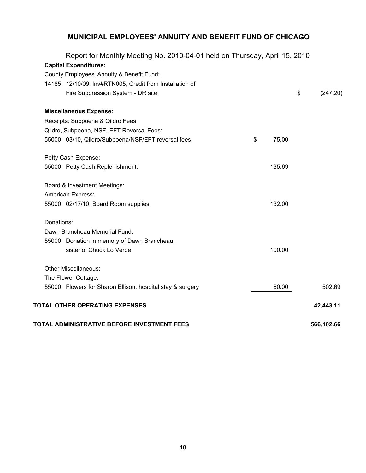| Report for Monthly Meeting No. 2010-04-01 held on Thursday, April 15, 2010 |             |                |
|----------------------------------------------------------------------------|-------------|----------------|
| <b>Capital Expenditures:</b>                                               |             |                |
| County Employees' Annuity & Benefit Fund:                                  |             |                |
| 14185 12/10/09, Inv#RTN005, Credit from Installation of                    |             |                |
| Fire Suppression System - DR site                                          |             | \$<br>(247.20) |
| <b>Miscellaneous Expense:</b>                                              |             |                |
| Receipts: Subpoena & Qildro Fees                                           |             |                |
| Qildro, Subpoena, NSF, EFT Reversal Fees:                                  |             |                |
| 55000 03/10, Qildro/Subpoena/NSF/EFT reversal fees                         | \$<br>75.00 |                |
| Petty Cash Expense:                                                        |             |                |
| 55000 Petty Cash Replenishment:                                            | 135.69      |                |
| Board & Investment Meetings:                                               |             |                |
| American Express:                                                          |             |                |
| 55000 02/17/10, Board Room supplies                                        | 132.00      |                |
| Donations:                                                                 |             |                |
| Dawn Brancheau Memorial Fund:                                              |             |                |
| 55000 Donation in memory of Dawn Brancheau,                                |             |                |
| sister of Chuck Lo Verde                                                   | 100.00      |                |
| <b>Other Miscellaneous:</b>                                                |             |                |
| The Flower Cottage:                                                        |             |                |
| 55000 Flowers for Sharon Ellison, hospital stay & surgery                  | 60.00       | 502.69         |
| TOTAL OTHER OPERATING EXPENSES                                             |             | 42,443.11      |
| TOTAL ADMINISTRATIVE BEFORE INVESTMENT FEES                                |             | 566,102.66     |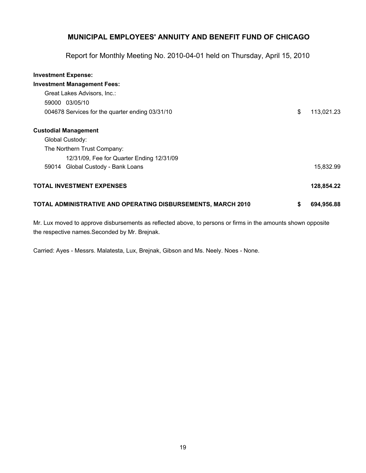Report for Monthly Meeting No. 2010-04-01 held on Thursday, April 15, 2010

| <b>Investment Expense:</b>                                          |                  |
|---------------------------------------------------------------------|------------------|
| <b>Investment Management Fees:</b>                                  |                  |
| Great Lakes Advisors, Inc.:                                         |                  |
| 59000 03/05/10                                                      |                  |
| 004678 Services for the quarter ending 03/31/10                     | \$<br>113,021.23 |
| <b>Custodial Management</b>                                         |                  |
| Global Custody:                                                     |                  |
| The Northern Trust Company:                                         |                  |
| 12/31/09, Fee for Quarter Ending 12/31/09                           |                  |
| Global Custody - Bank Loans<br>59014                                | 15,832.99        |
| <b>TOTAL INVESTMENT EXPENSES</b>                                    | 128,854.22       |
| <b>TOTAL ADMINISTRATIVE AND OPERATING DISBURSEMENTS, MARCH 2010</b> | \$<br>694,956.88 |

Mr. Lux moved to approve disbursements as reflected above, to persons or firms in the amounts shown opposite the respective names.Seconded by Mr. Brejnak.

Carried: Ayes - Messrs. Malatesta, Lux, Brejnak, Gibson and Ms. Neely. Noes - None.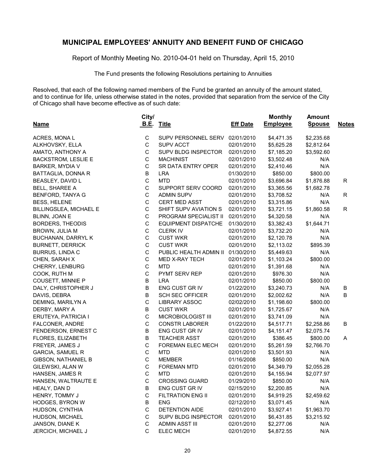Report of Monthly Meeting No. 2010-04-01 held on Thursday, April 15, 2010

The Fund presents the following Resolutions pertaining to Annuities

Resolved, that each of the following named members of the Fund be granted an annuity of the amount stated, and to continue for life, unless otherwise stated in the notes, provided that separation from the service of the City of Chicago shall have become effective as of such date:

|                            | City/       |                                |                 | <b>Monthly</b>  | <b>Amount</b> |              |
|----------------------------|-------------|--------------------------------|-----------------|-----------------|---------------|--------------|
| <b>Name</b>                | <u>B.E.</u> | <b>Title</b>                   | <b>Eff Date</b> | <b>Employee</b> | <b>Spouse</b> | <b>Notes</b> |
| ACRES, MONAL               | C           | SUPV PERSONNEL SERV 02/01/2010 |                 | \$4,471.35      | \$2,235.68    |              |
| ALKHOVSKY, ELLA            | $\mathsf C$ | <b>SUPV ACCT</b>               | 02/01/2010      | \$5,625.28      | \$2,812.64    |              |
| AMATO, ANTHONY A           | $\mathbf C$ | SUPV BLDG INSPECTOR            | 02/01/2010      | \$7,185.20      | \$3,592.60    |              |
| <b>BACKSTROM, LESLIE E</b> | $\mathsf C$ | <b>MACHINIST</b>               | 02/01/2010      | \$3,502.48      | N/A           |              |
| <b>BARKER, MYDIA V</b>     | $\mathsf C$ | SR DATA ENTRY OPER             | 02/01/2010      | \$2,410.46      | N/A           |              |
| BATTAGLIA, DONNA R         | B           | <b>LRA</b>                     | 01/30/2010      | \$850.00        | \$800.00      |              |
| BEASLEY, DAVID L           | $\mathbf C$ | <b>MTD</b>                     | 02/01/2010      | \$3,696.84      | \$1,876.88    | R            |
| <b>BELL, SHAREE A</b>      | $\mathsf C$ | SUPPORT SERV COORD             | 02/01/2010      | \$3,365.56      | \$1,682.78    |              |
| BENFORD, TANYA G           | $\mathsf C$ | <b>ADMIN SUPV</b>              | 02/01/2010      | \$3,708.52      | N/A           | R            |
| <b>BESS, HELENE</b>        | $\mathsf C$ | <b>CERT MED ASST</b>           | 02/01/2010      | \$3,315.86      | N/A           |              |
| BILLINGSLEA, MICHAEL E     | $\mathsf C$ | SHIFT SUPV AVIATION S          | 02/01/2010      | \$3,721.15      | \$1,860.58    | R            |
| BLINN, JOAN E              | $\mathsf C$ | PROGRAM SPECIALIST II          | 02/01/2010      | \$4,320.58      | N/A           |              |
| BORDERS, THEODIS           | $\mathsf C$ | <b>EQUIPMENT DISPATCHE</b>     | 01/30/2010      | \$3,382.43      | \$1,644.71    |              |
| BROWN, JULIA M             | $\mathsf C$ | <b>CLERK IV</b>                | 02/01/2010      | \$3,732.20      | N/A           |              |
| <b>BUCHANAN, DARRYL K</b>  | $\mathsf C$ | <b>CUST WKR</b>                | 02/01/2010      | \$2,120.78      | N/A           |              |
| <b>BURNETT, DERRICK</b>    | $\mathsf C$ | <b>CUST WKR</b>                | 02/01/2010      | \$2,113.02      | \$895.39      |              |
| <b>BURRUS, LINDA C</b>     | $\mathsf C$ | PUBLIC HEALTH ADMIN II         | 01/30/2010      | \$5,449.63      | N/A           |              |
| CHEN, SARAH X              | $\mathsf C$ | <b>MED X-RAY TECH</b>          | 02/01/2010      | \$1,103.24      | \$800.00      |              |
| CHERRY, LENBURG            | $\mathsf C$ | <b>MTD</b>                     | 02/01/2010      | \$1,391.68      | N/A           |              |
| COOK, RUTH M               | $\mathsf C$ | PYMT SERV REP                  | 02/01/2010      | \$976.30        | N/A           |              |
| <b>COUSETT, MINNIE P</b>   | $\sf B$     | <b>LRA</b>                     | 02/01/2010      | \$850.00        | \$800.00      |              |
| DALY, CHRISTOPHER J        | $\sf B$     | ENG CUST GR IV                 | 01/22/2010      | \$3,240.73      | N/A           | В            |
| DAVIS, DEBRA               | $\sf B$     | <b>SCH SEC OFFICER</b>         | 02/01/2010      | \$2,002.62      | N/A           | B            |
| DEMING, MARILYN A          | $\mathsf C$ | <b>LIBRARY ASSOC</b>           | 02/02/2010      | \$1,198.60      | \$800.00      |              |
| DERBY, MARY A              | B           | <b>CUST WKR</b>                | 02/01/2010      | \$1,725.67      | N/A           |              |
| ERUTEYA, PATRICIA I        | $\mathsf C$ | MICROBIOLOGIST III             | 02/01/2010      | \$3,741.09      | N/A           |              |
| <b>FALCONER, ANDRE</b>     | $\mathsf C$ | <b>CONSTR LABORER</b>          | 01/22/2010      | \$4,517.71      | \$2,258.86    | В            |
| FENDERSON, ERNEST C        | $\sf B$     | ENG CUST GR IV                 | 02/01/2010      | \$4,151.47      | \$2,075.74    |              |
| FLORES, ELIZABETH          | $\sf B$     | <b>TEACHER ASST</b>            | 02/01/2010      | \$386.45        | \$800.00      | Α            |
| FREYER, JAMES J            | $\mathsf C$ | FOREMAN ELEC MECH              | 02/01/2010      | \$5,261.59      | \$2,766.70    |              |
| <b>GARCIA, SAMUEL R</b>    | $\mathsf C$ | <b>MTD</b>                     | 02/01/2010      | \$3,501.93      | N/A           |              |
| <b>GIBSON, NATHANIEL B</b> | $\mathsf C$ | <b>MEMBER</b>                  | 01/16/2008      | \$850.00        | N/A           |              |
| GILEWSKI, ALAN W           | $\mathbf C$ | <b>FOREMAN MTD</b>             | 02/01/2010      | \$4,349.79      | \$2,055.28    |              |
| HANSEN, JAMES R            | $\mathsf C$ | <b>MTD</b>                     | 02/01/2010      | \$4,155.94      | \$2,077.97    |              |
| HANSEN, WALTRAUTE E        | C           | <b>CROSSING GUARD</b>          | 01/29/2010      | \$850.00        | N/A           |              |
| HEALY, DAN D               | B           | ENG CUST GR IV                 | 02/15/2010      | \$2,200.85      | N/A           |              |
| HENRY, TOMMY J             | $\mathsf C$ | <b>FILTRATION ENG II</b>       | 02/01/2010      | \$4,919.25      | \$2,459.62    |              |
| <b>HODGES, BYRON W</b>     | B           | <b>ENG</b>                     | 02/12/2010      | \$3,071.45      | N/A           |              |
| HUDSON, CYNTHIA            | $\mathsf C$ | <b>DETENTION AIDE</b>          | 02/01/2010      | \$3,927.41      | \$1,963.70    |              |
| HUDSON, MICHAEL            | $\mathsf C$ | SUPV BLDG INSPECTOR            | 02/01/2010      | \$6,431.85      | \$3,215.92    |              |
| JANSON, DIANE K            | $\mathsf C$ | <b>ADMIN ASST III</b>          | 02/01/2010      | \$2,277.06      | N/A           |              |
| JERCICH, MICHAEL J         | $\mathsf C$ | <b>ELEC MECH</b>               | 02/01/2010      | \$4,872.55      | N/A           |              |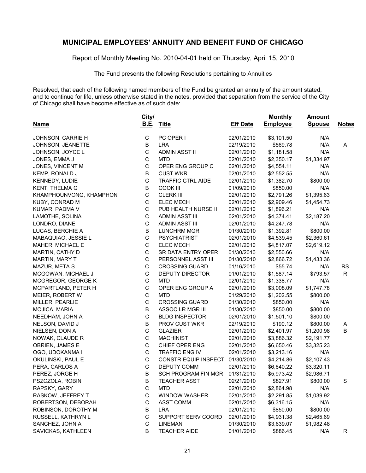Report of Monthly Meeting No. 2010-04-01 held on Thursday, April 15, 2010

The Fund presents the following Resolutions pertaining to Annuities

Resolved, that each of the following named members of the Fund be granted an annuity of the amount stated, and to continue for life, unless otherwise stated in the notes, provided that separation from the service of the City of Chicago shall have become effective as of such date:

|                         | City/       |                            |                 | <b>Monthly</b>  | <b>Amount</b> |              |
|-------------------------|-------------|----------------------------|-----------------|-----------------|---------------|--------------|
| <b>Name</b>             | <u>B.E.</u> | <b>Title</b>               | <b>Eff Date</b> | <b>Employee</b> | <b>Spouse</b> | <b>Notes</b> |
| JOHNSON, CARRIE H       | C           | PC OPER I                  | 02/01/2010      | \$3,101.50      | N/A           |              |
| JOHNSON, JEANETTE       | B           | <b>LRA</b>                 | 02/19/2010      | \$569.78        | N/A           | A            |
| JOHNSON, JOYCE L        | C           | <b>ADMIN ASST II</b>       | 02/01/2010      | \$1,181.58      | N/A           |              |
| JONES, EMMA J           | $\mathsf C$ | <b>MTD</b>                 | 02/01/2010      | \$2,350.17      | \$1,334.97    |              |
| JONES, VINCENT M        | $\mathsf C$ | OPER ENG GROUP C           | 02/01/2010      | \$4,554.11      | N/A           |              |
| KEMP, RONALD J          | $\sf B$     | <b>CUST WKR</b>            | 02/01/2010      | \$2,552.55      | N/A           |              |
| KENNEDY, LUDIE          | $\mathsf C$ | <b>TRAFFIC CTRL AIDE</b>   | 02/01/2010      | \$1,382.70      | \$800.00      |              |
| KENT, THELMA G          | $\sf B$     | <b>COOK III</b>            | 01/09/2010      | \$850.00        | N/A           |              |
| KHAMPHOUNVONG, KHAMPHON | $\mathsf C$ | <b>CLERK III</b>           | 02/01/2010      | \$2,791.26      | \$1,395.63    |              |
| KUBY, CONRAD M          | C           | <b>ELEC MECH</b>           | 02/01/2010      | \$2,909.46      | \$1,454.73    |              |
| KUMAR, PADMA V          | $\mathsf C$ | PUB HEALTH NURSE II        | 02/01/2010      | \$1,896.21      | N/A           |              |
| LAMOTHE, SOLINA         | $\mathsf C$ | <b>ADMIN ASST III</b>      | 02/01/2010      | \$4,374.41      | \$2,187.20    |              |
| LONDRO, DIANE           | $\mathsf C$ | <b>ADMIN ASST III</b>      | 02/01/2010      | \$4,247.78      | N/A           |              |
| LUCAS, BERCHIE A        | B           | <b>LUNCHRM MGR</b>         | 01/30/2010      | \$1,392.81      | \$800.00      |              |
| MABAQUIAO, JESSIE L     | $\mathsf C$ | <b>PSYCHIATRIST</b>        | 02/01/2010      | \$4,539.45      | \$2,360.61    |              |
| MAHER, MICHAEL E        | $\mathsf C$ | <b>ELEC MECH</b>           | 02/01/2010      | \$4,817.07      | \$2,619.12    |              |
| MARTIN, CATHY D         | $\mathsf C$ | SR DATA ENTRY OPER         | 01/30/2010      | \$2,550.66      | N/A           |              |
| MARTIN, MARY T          | $\mathsf C$ | PERSONNEL ASST III         | 01/30/2010      | \$2,866.72      | \$1,433.36    |              |
| MAZUR, META S           | $\mathsf C$ | <b>CROSSING GUARD</b>      | 01/16/2010      | \$55.74         | N/A           | <b>RS</b>    |
| MCGOWAN, MICHAEL J      | $\mathsf C$ | <b>DEPUTY DIRECTOR</b>     | 01/01/2010      | \$1,587.14      | \$793.57      | R            |
| MCGREGOR, GEORGE K      | $\mathsf C$ | <b>MTD</b>                 | 02/01/2010      | \$1,338.77      | N/A           |              |
| MCPARTLAND, PETER H     | $\mathsf C$ | OPER ENG GROUP A           | 02/01/2010      | \$3,008.09      | \$1,747.78    |              |
| MEIER, ROBERT W         | $\mathsf C$ | <b>MTD</b>                 | 01/29/2010      | \$1,202.55      | \$800.00      |              |
| MILLER, PEARLIE         | $\mathsf C$ | <b>CROSSING GUARD</b>      | 01/30/2010      | \$850.00        | N/A           |              |
| MOJICA, MARIA           | $\sf B$     | ASSOC LR MGR III           | 01/30/2010      | \$850.00        | \$800.00      |              |
| NEEDHAM, JOHN A         | $\mathsf C$ | <b>BLDG INSPECTOR</b>      | 02/01/2010      | \$1,501.10      | \$800.00      |              |
| NELSON, DAVID J         | B           | PROV CUST WKR              | 02/19/2010      | \$190.12        | \$800.00      | A            |
| NIELSEN, DON A          | $\mathsf C$ | <b>GLAZIER</b>             | 02/01/2010      | \$2,401.97      | \$1,200.98    | B            |
| NOWAK, CLAUDE R         | $\mathsf C$ | <b>MACHINIST</b>           | 02/01/2010      | \$3,886.32      | \$2,191.77    |              |
| OBRIEN, JAMES E         | $\mathsf C$ | CHIEF OPER ENG             | 02/01/2010      | \$6,650.46      | \$3,325.23    |              |
| OGO, UDOKANMA I         | $\mathsf C$ | TRAFFIC ENG IV             | 02/01/2010      | \$3,213.16      | N/A           |              |
| OKULINSKI, PAUL E       | $\mathsf C$ | CONSTR EQUIP INSPECT       | 01/30/2010      | \$4,214.86      | \$2,107.43    |              |
| PERA, CARLOS A          | $\mathsf C$ | DEPUTY COMM                | 02/01/2010      | \$6,640.22      | \$3,320.11    |              |
| PEREZ, JORGE H          | $\sf B$     | <b>SCH PROGRAM FIN MGR</b> | 01/31/2010      | \$5,973.42      | \$2,986.71    |              |
| PSZCZOLA, ROBIN         | B           | <b>TEACHER ASST</b>        | 02/21/2010      | \$827.91        | \$800.00      | S            |
| RAPSKY, GARY            | C           | <b>MTD</b>                 | 02/01/2010      | \$2,864.98      | N/A           |              |
| RASKOW, JEFFREY T       | C           | WINDOW WASHER              | 02/01/2010      | \$2,291.85      | \$1,039.92    |              |
| ROBERTSON, DEBORAH      | С           | ASST COMM                  | 02/01/2010      | \$6,316.15      | N/A           |              |
| ROBINSON, DOROTHY M     | B           | <b>LRA</b>                 | 02/01/2010      | \$850.00        | \$800.00      |              |
| RUSSELL, KATHRYN L      | C           | SUPPORT SERV COORD         | 02/01/2010      | \$4,931.38      | \$2,465.69    |              |
| SANCHEZ, JOHN A         | C           | <b>LINEMAN</b>             | 01/30/2010      | \$3,639.07      | \$1,982.48    |              |
| SAVICKAS, KATHLEEN      | B           | <b>TEACHER AIDE</b>        | 01/01/2010      | \$886.45        | N/A           | R            |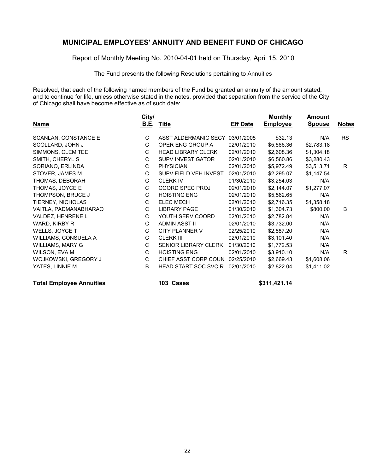Report of Monthly Meeting No. 2010-04-01 held on Thursday, April 15, 2010

The Fund presents the following Resolutions pertaining to Annuities

Resolved, that each of the following named members of the Fund be granted an annuity of the amount stated, and to continue for life, unless otherwise stated in the notes, provided that separation from the service of the City of Chicago shall have become effective as of such date:

| <b>Name</b>           | City/<br><u>B.E.</u> | Title                       | <b>Eff Date</b> | <b>Monthly</b><br><b>Employee</b> | Amount<br><b>Spouse</b> | <b>Notes</b> |
|-----------------------|----------------------|-----------------------------|-----------------|-----------------------------------|-------------------------|--------------|
| SCANLAN, CONSTANCE E  | C                    | ASST ALDERMANIC SECY        | 03/01/2005      | \$32.13                           | N/A                     | <b>RS</b>    |
| SCOLLARD, JOHN J      | C                    | OPER ENG GROUP A            | 02/01/2010      | \$5,566.36                        | \$2,783.18              |              |
| SIMMONS, CLEMITEE     | C                    | <b>HEAD LIBRARY CLERK</b>   | 02/01/2010      | \$2,608.36                        | \$1,304.18              |              |
| SMITH, CHERYL S       | C                    | <b>SUPV INVESTIGATOR</b>    | 02/01/2010      | \$6,560.86                        | \$3,280.43              |              |
| SORIANO, ERLINDA      | С                    | <b>PHYSICIAN</b>            | 02/01/2010      | \$5,972.49                        | \$3,513.71              | R.           |
| STOVER, JAMES M       | C                    | SUPV FIELD VEH INVEST       | 02/01/2010      | \$2,295.07                        | \$1,147.54              |              |
| THOMAS, DEBORAH       | C                    | <b>CLERK IV</b>             | 01/30/2010      | \$3,254.03                        | N/A                     |              |
| THOMAS, JOYCE E       | С                    | COORD SPEC PROJ             | 02/01/2010      | \$2,144.07                        | \$1,277.07              |              |
| THOMPSON, BRUCE J     | C                    | <b>HOISTING ENG</b>         | 02/01/2010      | \$5,562.65                        | N/A                     |              |
| TIERNEY, NICHOLAS     | С                    | <b>ELEC MECH</b>            | 02/01/2010      | \$2,716.35                        | \$1,358.18              |              |
| VAITLA, PADMANABHARAO | C                    | <b>LIBRARY PAGE</b>         | 01/30/2010      | \$1,304.73                        | \$800.00                | B            |
| VALDEZ, HENRENE L     | C                    | YOUTH SERV COORD            | 02/01/2010      | \$2,782.84                        | N/A                     |              |
| WARD, KIRBY R         | C                    | ADMIN ASST II               | 02/01/2010      | \$3,732.00                        | N/A                     |              |
| WELLS, JOYCE T        | C                    | CITY PLANNER V              | 02/25/2010      | \$2,587.20                        | N/A                     |              |
| WILLIAMS, CONSUELA A  | C                    | <b>CLERK III</b>            | 02/01/2010      | \$3,101.40                        | N/A                     |              |
| WILLIAMS, MARY G      | C                    | <b>SENIOR LIBRARY CLERK</b> | 01/30/2010      | \$1,772.53                        | N/A                     |              |
| WILSON, EVA M         | C                    | <b>HOISTING ENG</b>         | 02/01/2010      | \$3,910.10                        | N/A                     | R.           |
| WOJKOWSKI, GREGORY J  | C                    | CHIEF ASST CORP COUN        | 02/25/2010      | \$2,669.43                        | \$1,608.06              |              |
| YATES, LINNIE M       | B                    | <b>HEAD START SOC SVC R</b> | 02/01/2010      | \$2,822.04                        | \$1,411.02              |              |

**Total Employee Annuities 103 Cases \$311,421.14**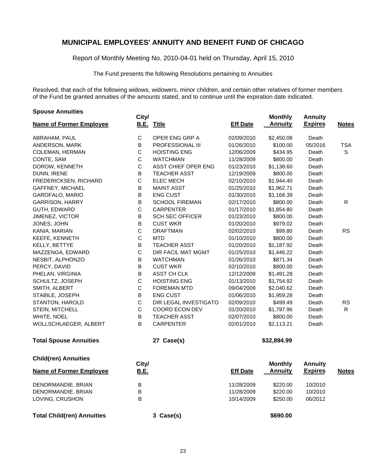Report of Monthly Meeting No. 2010-04-01 held on Thursday, April 15, 2010

The Fund presents the following Resolutions pertaining to Annuities

Resolved, that each of the following widows, widowers, minor children, and certain other relatives of former members of the Fund be granted annuities of the amounts stated, and to continue until the expiration date indicated.

| <b>Spouse Annuities</b>           | City/       |                        |                 | <b>Monthly</b> | <b>Annuity</b> |              |
|-----------------------------------|-------------|------------------------|-----------------|----------------|----------------|--------------|
| <b>Name of Former Employee</b>    |             | <b>B.E. Title</b>      | <b>Eff Date</b> | <b>Annuity</b> | <b>Expires</b> | <b>Notes</b> |
| ABRAHAM, PAUL                     | $\mathbf C$ | OPER ENG GRP A         | 02/09/2010      | \$2,450.08     | Death          |              |
| ANDERSON, MARK                    | B           | PROFESSIONAL III       | 01/26/2010      | \$100.00       | 05/2016        | <b>TSA</b>   |
| <b>COLEMAN, HERMAN</b>            | $\mathsf C$ | <b>HOISTING ENG</b>    | 12/06/2009      | \$434.95       | Death          | $\mathsf S$  |
| CONTE, SAM                        | $\mathsf C$ | <b>WATCHMAN</b>        | 11/28/2009      | \$800.00       | Death          |              |
| DOROW, KENNETH                    | $\mathsf C$ | ASST CHIEF OPER ENG    | 01/23/2010      | \$1,138.60     | Death          |              |
| DUNN, IRENE                       | B           | <b>TEACHER ASST</b>    | 12/19/2009      | \$800.00       | Death          |              |
| FREDERICKSEN, RICHARD             | $\mathsf C$ | <b>ELEC MECH</b>       | 02/10/2010      | \$1,944.40     | Death          |              |
| <b>GAFFNEY, MICHAEL</b>           | B           | <b>MAINT ASST</b>      | 01/25/2010      | \$1,962.71     | Death          |              |
| GAROFALO, MARIO                   | В           | <b>ENG CUST</b>        | 01/30/2010      | \$1,168.39     | Death          |              |
| <b>GARRISON, HARRY</b>            | B           | <b>SCHOOL FIREMAN</b>  | 02/17/2010      | \$800.00       | Death          | R            |
| GUTH, EDWARD                      | $\mathsf C$ | <b>CARPENTER</b>       | 01/17/2010      | \$1,854.80     | Death          |              |
| <b>JIMENEZ, VICTOR</b>            | В           | <b>SCH SEC OFFICER</b> | 01/23/2010      | \$800.00       | Death          |              |
| JONES, JOHN                       | B           | <b>CUST WKR</b>        | 01/20/2010      | \$979.02       | Death          |              |
| KANIA, MARIAN                     | $\mathsf C$ | <b>DRAFTMAN</b>        | 02/02/2010      | \$99.80        | Death          | <b>RS</b>    |
| KEEFE, KENNETH                    | $\mathsf C$ | <b>MTD</b>             | 01/10/2010      | \$800.00       | Death          |              |
| KELLY, BETTYE                     | В           | <b>TEACHER ASST</b>    | 01/20/2010      | \$1,187.92     | Death          |              |
| MAZZENGA, EDWARD                  | $\mathsf C$ | DIR FACIL MAT MGMT     | 01/25/2010      | \$1,446.22     | Death          |              |
| NESBIT, ALPHONZO                  | B           | <b>WATCHMAN</b>        | 01/26/2010      | \$871.34       | Death          |              |
| PERCY, DAVID                      | Β           | <b>CUST WKR</b>        | 02/10/2010      | \$800.00       | Death          |              |
| PHELAN, VIRGINIA                  | B           | ASST CH CLK            | 12/12/2009      | \$1,491.28     | Death          |              |
| SCHULTZ, JOSEPH                   | $\mathsf C$ | <b>HOISTING ENG</b>    | 01/13/2010      | \$1,754.92     | Death          |              |
| SMITH, ALBERT                     | $\mathsf C$ | <b>FOREMAN MTD</b>     | 09/04/2009      | \$2,040.62     | Death          |              |
| STABILE, JOSEPH                   | B           | <b>ENG CUST</b>        | 01/06/2010      | \$1,959.28     | Death          |              |
| STANTON, HAROLD                   | $\mathsf C$ | DIR LEGAL INVESTIGATO  | 02/09/2010      | \$499.49       | Death          | <b>RS</b>    |
| STEIN, MITCHELL                   | $\mathsf C$ | COORD ECON DEV         | 01/20/2010      | \$1,797.96     | Death          | R.           |
| WHITE, NOEL                       | B           | <b>TEACHER ASST</b>    | 02/07/2010      | \$800.00       | Death          |              |
| WOLLSCHLAEGER, ALBERT             | B           | <b>CARPENTER</b>       | 02/01/2010      | \$2,113.21     | Death          |              |
| <b>Total Spouse Annuities</b>     |             | 27 Case(s)             |                 | \$32,894.99    |                |              |
| <b>Child(ren) Annuities</b>       | City/       |                        |                 | <b>Monthly</b> | <b>Annuity</b> |              |
| <b>Name of Former Employee</b>    | B.E.        |                        | Eff Date        | <b>Annuity</b> | <b>Expires</b> | <b>Notes</b> |
| DENORMANDIE, BRIAN                | В           |                        | 11/28/2009      | \$220.00       | 10/2010        |              |
| DENORMANDIE, BRIAN                | В           |                        | 11/28/2009      | \$220.00       | 10/2010        |              |
| LOVING, CRUSHON                   | В           |                        | 10/14/2009      | \$250.00       | 06/2012        |              |
| <b>Total Child(ren) Annuities</b> |             | 3 Case(s)              |                 | \$690.00       |                |              |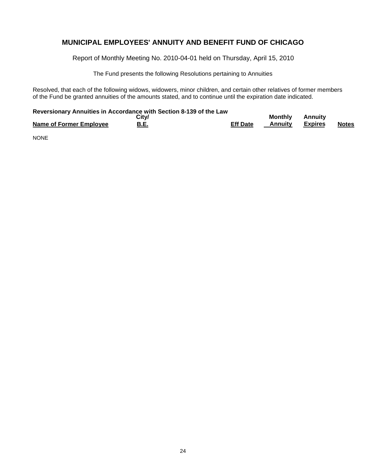Report of Monthly Meeting No. 2010-04-01 held on Thursday, April 15, 2010

The Fund presents the following Resolutions pertaining to Annuities

Resolved, that each of the following widows, widowers, minor children, and certain other relatives of former members of the Fund be granted annuities of the amounts stated, and to continue until the expiration date indicated.

#### **Reversionary Annuities in Accordance with Section 8-139 of the Law**

|                         | City/       |                 | Monthly | Annuity |              |
|-------------------------|-------------|-----------------|---------|---------|--------------|
| Name of Former Employee | <b>B.E.</b> | <b>Eff Date</b> | Annuitv | Expires | <b>Notes</b> |

NONE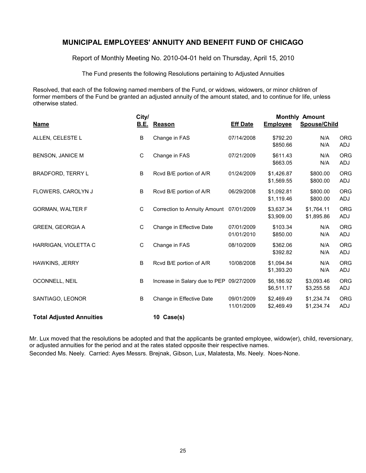Report of Monthly Meeting No. 2010-04-01 held on Thursday, April 15, 2010

The Fund presents the following Resolutions pertaining to Adjusted Annuities

Resolved, that each of the following named members of the Fund, or widows, widowers, or minor children of former members of the Fund be granted an adjusted annuity of the amount stated, and to continue for life, unless otherwise stated.

| City/                           |             |                                          |                          | <b>Monthly Amount</b>    |                          |                   |  |
|---------------------------------|-------------|------------------------------------------|--------------------------|--------------------------|--------------------------|-------------------|--|
| <b>Name</b>                     | <u>B.E.</u> | Reason                                   | <b>Eff Date</b>          | <b>Employee</b>          | Spouse/Child             |                   |  |
| ALLEN, CELESTE L                | $\sf B$     | Change in FAS                            | 07/14/2008               | \$792.20<br>\$850.66     | N/A<br>N/A               | <b>ORG</b><br>ADJ |  |
| <b>BENSON, JANICE M</b>         | $\mathsf C$ | Change in FAS                            | 07/21/2009               | \$611.43<br>\$663.05     | N/A<br>N/A               | <b>ORG</b><br>ADJ |  |
| <b>BRADFORD, TERRY L</b>        | B           | Rcvd B/E portion of A/R                  | 01/24/2009               | \$1,426.87<br>\$1,569.55 | \$800.00<br>\$800.00     | <b>ORG</b><br>ADJ |  |
| FLOWERS, CAROLYN J              | $\sf B$     | Rcvd B/E portion of A/R                  | 06/29/2008               | \$1,092.81<br>\$1,119.46 | \$800.00<br>\$800.00     | <b>ORG</b><br>ADJ |  |
| <b>GORMAN, WALTER F</b>         | $\mathbf C$ | Correction to Annuity Amount 07/01/2009  |                          | \$3,637.34<br>\$3,909.00 | \$1,764.11<br>\$1,895.86 | <b>ORG</b><br>ADJ |  |
| <b>GREEN, GEORGIA A</b>         | $\mathbf C$ | Change in Effective Date                 | 07/01/2009<br>01/01/2010 | \$103.34<br>\$850.00     | N/A<br>N/A               | <b>ORG</b><br>ADJ |  |
| HARRIGAN, VIOLETTA C            | $\mathbf C$ | Change in FAS                            | 08/10/2009               | \$362.06<br>\$392.82     | N/A<br>N/A               | <b>ORG</b><br>ADJ |  |
| <b>HAWKINS, JERRY</b>           | B           | Rcvd B/E portion of A/R                  | 10/08/2008               | \$1,094.84<br>\$1,393.20 | N/A<br>N/A               | <b>ORG</b><br>ADJ |  |
| OCONNELL, NEIL                  | B           | Increase in Salary due to PEP 09/27/2009 |                          | \$6,186.92<br>\$6,511.17 | \$3,093.46<br>\$3,255.58 | <b>ORG</b><br>ADJ |  |
| SANTIAGO, LEONOR                | B           | Change in Effective Date                 | 09/01/2009<br>11/01/2009 | \$2,469.49<br>\$2,469.49 | \$1,234.74<br>\$1,234.74 | <b>ORG</b><br>ADJ |  |
| <b>Total Adjusted Annuities</b> |             | 10 Case(s)                               |                          |                          |                          |                   |  |

Mr. Lux moved that the resolutions be adopted and that the applicants be granted employee, widow(er), child, reversionary, or adjusted annuities for the period and at the rates stated opposite their respective names. Seconded Ms. Neely. Carried: Ayes Messrs. Brejnak, Gibson, Lux, Malatesta, Ms. Neely. Noes-None.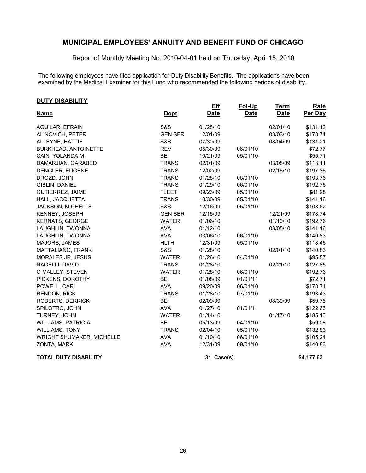Report of Monthly Meeting No. 2010-04-01 held on Thursday, April 15, 2010

The following employees have filed application for Duty Disability Benefits. The applications have been examined by the Medical Examiner for this Fund who recommended the following periods of disability.

#### **DUTY DISABILITY**

|                              |                | <b>Eff</b>  | Fol-Up      | <u>Term</u> | Rate       |
|------------------------------|----------------|-------------|-------------|-------------|------------|
| <b>Name</b>                  | <u>Dept</u>    | <b>Date</b> | <b>Date</b> | <b>Date</b> | Per Day    |
| <b>AGUILAR, EFRAIN</b>       | <b>S&amp;S</b> | 01/28/10    |             | 02/01/10    | \$131.12   |
| ALINOVICH, PETER             | <b>GEN SER</b> | 12/01/09    |             | 03/03/10    | \$178.74   |
| ALLEYNE, HATTIE              | <b>S&amp;S</b> | 07/30/09    |             | 08/04/09    | \$131.21   |
| <b>BURKHEAD, ANTOINETTE</b>  | <b>REV</b>     | 05/30/09    | 06/01/10    |             | \$72.77    |
| CAIN, YOLANDA M              | <b>BE</b>      | 10/21/09    | 05/01/10    |             | \$55.71    |
| DAMARJIAN, GARABED           | <b>TRANS</b>   | 02/01/09    |             | 03/08/09    | \$113.11   |
| DENGLER, EUGENE              | <b>TRANS</b>   | 12/02/09    |             | 02/16/10    | \$197.36   |
| DROZD, JOHN                  | <b>TRANS</b>   | 01/28/10    | 08/01/10    |             | \$193.76   |
| GIBLIN, DANIEL               | <b>TRANS</b>   | 01/29/10    | 06/01/10    |             | \$192.76   |
| <b>GUTIERREZ, JAIME</b>      | <b>FLEET</b>   | 09/23/09    | 05/01/10    |             | \$81.98    |
| HALL, JACQUETTA              | <b>TRANS</b>   | 10/30/09    | 05/01/10    |             | \$141.16   |
| JACKSON, MICHELLE            | <b>S&amp;S</b> | 12/16/09    | 05/01/10    |             | \$108.62   |
| KENNEY, JOSEPH               | <b>GEN SER</b> | 12/15/09    |             | 12/21/09    | \$178.74   |
| <b>KERNATS, GEORGE</b>       | <b>WATER</b>   | 01/06/10    |             | 01/10/10    | \$192.76   |
| LAUGHLIN, TWONNA             | <b>AVA</b>     | 01/12/10    |             | 03/05/10    | \$141.16   |
| LAUGHLIN, TWONNA             | <b>AVA</b>     | 03/06/10    | 06/01/10    |             | \$140.83   |
| MAJORS, JAMES                | <b>HLTH</b>    | 12/31/09    | 05/01/10    |             | \$118.46   |
| MATTALIANO, FRANK            | <b>S&amp;S</b> | 01/28/10    |             | 02/01/10    | \$140.83   |
| MORALES JR, JESUS            | <b>WATER</b>   | 01/26/10    | 04/01/10    |             | \$95.57    |
| NAGELLI, DAVID               | <b>TRANS</b>   | 01/28/10    |             | 02/21/10    | \$127.85   |
| O MALLEY, STEVEN             | <b>WATER</b>   | 01/28/10    | 06/01/10    |             | \$192.76   |
| PICKENS, DOROTHY             | <b>BE</b>      | 01/08/09    | 01/01/11    |             | \$72.71    |
| POWELL, CARL                 | <b>AVA</b>     | 09/20/09    | 06/01/10    |             | \$178.74   |
| <b>RENDON, RICK</b>          | <b>TRANS</b>   | 01/28/10    | 07/01/10    |             | \$193.43   |
| ROBERTS, DERRICK             | <b>BE</b>      | 02/09/09    |             | 08/30/09    | \$59.75    |
| SPILOTRO, JOHN               | <b>AVA</b>     | 01/27/10    | 01/01/11    |             | \$122.66   |
| TURNEY, JOHN                 | <b>WATER</b>   | 01/14/10    |             | 01/17/10    | \$185.10   |
| <b>WILLIAMS, PATRICIA</b>    | <b>BE</b>      | 05/13/09    | 04/01/10    |             | \$59.08    |
| <b>WILLIAMS, TONY</b>        | <b>TRANS</b>   | 02/04/10    | 05/01/10    |             | \$132.83   |
| WRIGHT SHUMAKER, MICHELLE    | <b>AVA</b>     | 01/10/10    | 06/01/10    |             | \$105.24   |
| ZONTA, MARK                  | <b>AVA</b>     | 12/31/09    | 09/01/10    |             | \$140.83   |
| <b>TOTAL DUTY DISABILITY</b> |                | 31 Case(s)  |             |             | \$4,177.63 |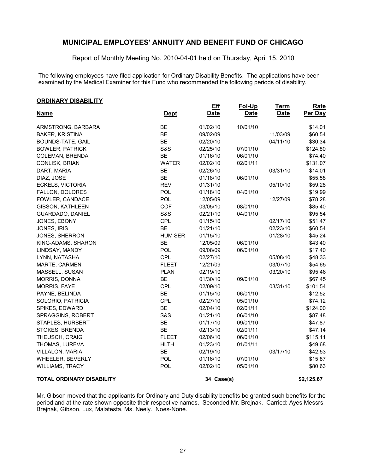Report of Monthly Meeting No. 2010-04-01 held on Thursday, April 15, 2010

The following employees have filed application for Ordinary Disability Benefits. The applications have been examined by the Medical Examiner for this Fund who recommended the following periods of disability.

| <b>ORDINARY DISABILITY</b> |
|----------------------------|
|                            |

| <u>UNUINANT DIJADILITT</u>       |                | <b>Eff</b>  | Fol-Up      | <b>Term</b> | Rate       |
|----------------------------------|----------------|-------------|-------------|-------------|------------|
| <u>Name</u>                      | <u>Dept</u>    | <b>Date</b> | <b>Date</b> | <b>Date</b> | Per Day    |
| ARMSTRONG, BARBARA               | <b>BE</b>      | 01/02/10    | 10/01/10    |             | \$14.01    |
| <b>BAKER, KRISTINA</b>           | <b>BE</b>      | 09/02/09    |             | 11/03/09    | \$60.54    |
| <b>BOUNDS-TATE, GAIL</b>         | <b>BE</b>      | 02/20/10    |             | 04/11/10    | \$30.34    |
| <b>BOWLER, PATRICK</b>           | <b>S&amp;S</b> | 02/25/10    | 07/01/10    |             | \$124.80   |
| <b>COLEMAN, BRENDA</b>           | <b>BE</b>      | 01/16/10    | 06/01/10    |             | \$74.40    |
| CONLISK, BRIAN                   | <b>WATER</b>   | 02/02/10    | 02/01/11    |             | \$131.07   |
| DART, MARIA                      | <b>BE</b>      | 02/26/10    |             | 03/31/10    | \$14.01    |
| DIAZ, JOSE                       | <b>BE</b>      | 01/18/10    | 06/01/10    |             | \$55.58    |
| ECKELS, VICTORIA                 | <b>REV</b>     | 01/31/10    |             | 05/10/10    | \$59.28    |
| FALLON, DOLORES                  | POL            | 01/18/10    | 04/01/10    |             | \$19.99    |
| FOWLER, CANDACE                  | <b>POL</b>     | 12/05/09    |             | 12/27/09    | \$78.28    |
| GIBSON, KATHLEEN                 | COF            | 03/05/10    | 08/01/10    |             | \$85.40    |
| GUARDADO, DANIEL                 | <b>S&amp;S</b> | 02/21/10    | 04/01/10    |             | \$95.54    |
| JONES, EBONY                     | <b>CPL</b>     | 01/15/10    |             | 02/17/10    | \$51.47    |
| JONES, IRIS                      | <b>BE</b>      | 01/21/10    |             | 02/23/10    | \$60.54    |
| JONES, SHERRON                   | <b>HUM SER</b> | 01/15/10    |             | 01/28/10    | \$45.24    |
| KING-ADAMS, SHARON               | <b>BE</b>      | 12/05/09    | 06/01/10    |             | \$43.40    |
| LINDSAY, MANDY                   | POL            | 09/08/09    | 06/01/10    |             | \$17.40    |
| LYNN, NATASHA                    | CPL            | 02/27/10    |             | 05/08/10    | \$48.33    |
| MARTE, CARMEN                    | <b>FLEET</b>   | 12/21/09    |             | 03/07/10    | \$54.65    |
| MASSELL, SUSAN                   | <b>PLAN</b>    | 02/19/10    |             | 03/20/10    | \$95.46    |
| MORRIS, DONNA                    | <b>BE</b>      | 01/30/10    | 09/01/10    |             | \$67.45    |
| <b>MORRIS, FAYE</b>              | <b>CPL</b>     | 02/09/10    |             | 03/31/10    | \$101.54   |
| PAYNE, BELINDA                   | <b>BE</b>      | 01/15/10    | 06/01/10    |             | \$12.52    |
| SOLORIO, PATRICIA                | CPL            | 02/27/10    | 05/01/10    |             | \$74.12    |
| SPIKES, EDWARD                   | <b>BE</b>      | 02/04/10    | 02/01/11    |             | \$124.00   |
| SPRAGGINS, ROBERT                | <b>S&amp;S</b> | 01/21/10    | 06/01/10    |             | \$87.48    |
| STAPLES, HURBERT                 | <b>BE</b>      | 01/17/10    | 09/01/10    |             | \$47.87    |
| STOKES, BRENDA                   | <b>BE</b>      | 02/13/10    | 02/01/11    |             | \$47.14    |
| THEUSCH, CRAIG                   | <b>FLEET</b>   | 02/06/10    | 06/01/10    |             | \$115.11   |
| THOMAS, LUREVA                   | <b>HLTH</b>    | 01/23/10    | 01/01/11    |             | \$49.68    |
| VILLALON, MARIA                  | <b>BE</b>      | 02/19/10    |             | 03/17/10    | \$42.53    |
| WHEELER, BEVERLY                 | POL            | 01/16/10    | 07/01/10    |             | \$15.87    |
| <b>WILLIAMS, TRACY</b>           | POL            | 02/02/10    | 05/01/10    |             | \$80.63    |
| <b>TOTAL ORDINARY DISABILITY</b> |                | 34 Case(s)  |             |             | \$2,125.67 |

Mr. Gibson moved that the applicants for Ordinary and Duty disability benefits be granted such benefits for the period and at the rate shown opposite their respective names. Seconded Mr. Brejnak. Carried: Ayes Messrs. Brejnak, Gibson, Lux, Malatesta, Ms. Neely. Noes-None.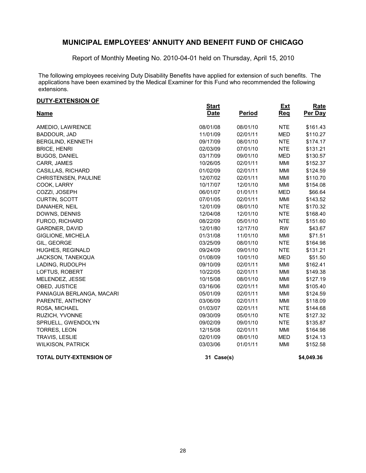Report of Monthly Meeting No. 2010-04-01 held on Thursday, April 15, 2010

The following employees receiving Duty Disability Benefits have applied for extension of such benefits. The applications have been examined by the Medical Examiner for this Fund who recommended the following extensions.

#### **DUTY-EXTENSION OF**

| <u> טעוטופונדא דו טע</u>       | <b>Start</b> |               | <b>Ext</b> | <b>Rate</b> |
|--------------------------------|--------------|---------------|------------|-------------|
| <u>Name</u>                    | <b>Date</b>  | <b>Period</b> | <b>Req</b> | Per Day     |
| AMEDIO, LAWRENCE               | 08/01/08     | 08/01/10      | <b>NTE</b> | \$161.43    |
| BADDOUR, JAD                   | 11/01/09     | 02/01/11      | <b>MED</b> | \$110.27    |
| BERGLIND, KENNETH              | 09/17/09     | 08/01/10      | <b>NTE</b> | \$174.17    |
| <b>BRICE, HENRI</b>            | 02/03/09     | 07/01/10      | <b>NTE</b> | \$131.21    |
| <b>BUGOS, DANIEL</b>           | 03/17/09     | 09/01/10      | <b>MED</b> | \$130.57    |
| CARR, JAMES                    | 10/26/05     | 02/01/11      | <b>MMI</b> | \$152.37    |
| CASILLAS, RICHARD              | 01/02/09     | 02/01/11      | MMI        | \$124.59    |
| CHRISTENSEN, PAULINE           | 12/07/02     | 02/01/11      | MMI        | \$110.70    |
| COOK, LARRY                    | 10/17/07     | 12/01/10      | MMI        | \$154.08    |
| COZZI, JOSEPH                  | 06/01/07     | 01/01/11      | <b>MED</b> | \$66.64     |
| CURTIN, SCOTT                  | 07/01/05     | 02/01/11      | MMI        | \$143.52    |
| DANAHER, NEIL                  | 12/01/09     | 08/01/10      | <b>NTE</b> | \$170.32    |
| DOWNS, DENNIS                  | 12/04/08     | 12/01/10      | <b>NTE</b> | \$168.40    |
| FURCO, RICHARD                 | 08/22/09     | 05/01/10      | <b>NTE</b> | \$151.60    |
| GARDNER, DAVID                 | 12/01/80     | 12/17/10      | <b>RW</b>  | \$43.67     |
| GIGLIONE, MICHELA              | 01/31/08     | 11/01/10      | MMI        | \$71.51     |
| GIL, GEORGE                    | 03/25/09     | 08/01/10      | <b>NTE</b> | \$164.98    |
| <b>HUGHES, REGINALD</b>        | 09/24/09     | 09/01/10      | <b>NTE</b> | \$131.21    |
| <b>JACKSON, TANEKQUA</b>       | 01/08/09     | 10/01/10      | <b>MED</b> | \$51.50     |
| LADING, RUDOLPH                | 09/10/09     | 02/01/11      | MMI        | \$162.41    |
| LOFTUS, ROBERT                 | 10/22/05     | 02/01/11      | MMI        | \$149.38    |
| MELENDEZ, JESSE                | 10/15/08     | 08/01/10      | MMI        | \$127.19    |
| OBED, JUSTICE                  | 03/16/06     | 02/01/11      | MMI        | \$105.40    |
| PANIAGUA BERLANGA, MACARI      | 05/01/09     | 02/01/11      | MMI        | \$124.59    |
| PARENTE, ANTHONY               | 03/06/09     | 02/01/11      | MMI        | \$118.09    |
| ROSA, MICHAEL                  | 01/03/07     | 02/01/11      | <b>NTE</b> | \$144.68    |
| RUZICH, YVONNE                 | 09/30/09     | 05/01/10      | <b>NTE</b> | \$127.32    |
| SPRUELL, GWENDOLYN             | 09/02/09     | 09/01/10      | <b>NTE</b> | \$135.87    |
| TORRES, LEON                   | 12/15/08     | 02/01/11      | MMI        | \$164.98    |
| <b>TRAVIS, LESLIE</b>          | 02/01/09     | 08/01/10      | <b>MED</b> | \$124.13    |
| <b>WILKISON, PATRICK</b>       | 03/03/06     | 01/01/11      | MMI        | \$152.58    |
| <b>TOTAL DUTY-EXTENSION OF</b> | 31 Case(s)   |               |            | \$4,049.36  |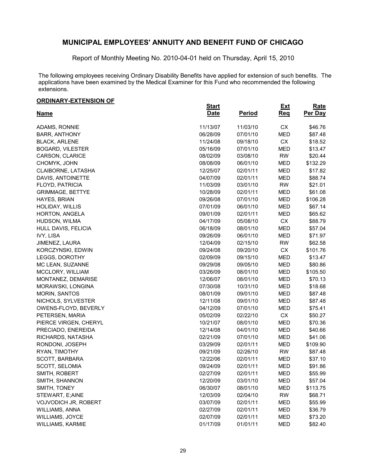Report of Monthly Meeting No. 2010-04-01 held on Thursday, April 15, 2010

The following employees receiving Ordinary Disability Benefits have applied for extension of such benefits. The applications have been examined by the Medical Examiner for this Fund who recommended the following extensions.

> **Rate Per Day**

#### **Name Start Date ORDINARY-EXTENSION OF Period Ext Req** ADAMS, RONNIE 11/13/07 11/03/10 CX \$46.76 BARR, ANTHONY 06/28/09 07/01/10 MED \$87.48 BLACK, ARLENE 11/24/08 09/18/10 CX \$18.52 BOGARD, VILESTER 05/16/09 07/01/10 MED \$13.47 CARSON, CLARICE 08/02/09 03/08/10 RW \$20.44 CHOMYK, JOHN 08/08/09 06/01/10 MED \$132.29 CLAIBORNE, LATASHA 12/25/07 02/01/11 MED \$17.82 DAVIS, ANTOINETTE 6 04/07/09 02/01/11 MED \$88.74 FLOYD, PATRICIA 11/03/09 03/01/10 RW \$21.01 GRIMMAGE, BETTYE 61.08 (10/28/09 02/01/11 MED \$61.08 HAYES, BRIAN 09/26/08 07/01/10 MED \$106.28 HOLIDAY, WILLIS 07/01/09 06/01/10 MED \$67.14 HORTON, ANGELA 09/01/09 02/01/11 MED \$65.62 HUDSON, WILMA 04/17/09 05/08/10 CX \$88.79 HULL DAVIS, FELICIA 06/18/09 08/01/10 MED \$57.04 IVY, LISA 09/26/09 06/01/10 MED \$71.97 JIMENEZ, LAURA 12/04/09 02/15/10 RW \$62.58 KORCZYNSKI, EDWIN 09/24/08 09/20/10 CX \$101.76 LEGGS, DOROTHY 02/09/09 09/15/10 MED \$13.47 MC LEAN, SUZANNE 09/29/08 09/05/10 MED \$80.86 MCCLORY, WILLIAM 03/26/09 08/01/10 MED \$105.50 MONTANEZ, DEMARISE 12/06/07 08/01/10 MED \$70.13 MORAWSKI, LONGINA 07/30/08 10/31/10 MED \$18.68 MORIN, SANTOS 08/01/09 09/01/10 MED \$87.48 NICHOLS, SYLVESTER 12/11/08 09/01/10 MED \$87.48 OWENS-FLOYD, BEVERLY 04/12/09 07/01/10 MED \$75.41 PETERSEN, MARIA 05/02/09 02/22/10 CX \$50.27 PIERCE VIRGEN, CHERYL 10/21/07 08/01/10 MED \$70.36 PRECIADO, ENEREIDA 12/14/08 04/01/10 MED \$40.66 RICHARDS, NATASHA 02/21/09 07/01/10 MED \$41.06 RONDONI, JOSEPH 03/29/09 02/01/11 MED \$109.90 RYAN, TIMOTHY 09/21/09 02/26/10 RW \$87.48 SCOTT, BARBARA 12/22/06 02/01/11 MED \$37.10 SCOTT, SELOMIA 09/24/09 02/01/11 MED \$91.86 SMITH, ROBERT 62/27/09 02/27/09 02/01/11 MED \$55.99 SMITH, SHANNON 12/20/09 03/01/10 MED \$57.04 SMITH, TONEY 06/30/07 08/01/10 MED \$113.75 STEWART, E;AINE 12/03/09 02/04/10 RW \$68.71

VOJVODICH JR, ROBERT 03/07/09 02/01/11 MED \$55.99 WILLIAMS, ANNA 02/27/09 02/01/11 MED \$36.79 WILLIAMS, JOYCE 673.20 WILLIAMS, KARMIE 01/17/09 01/01/11 MED \$82.40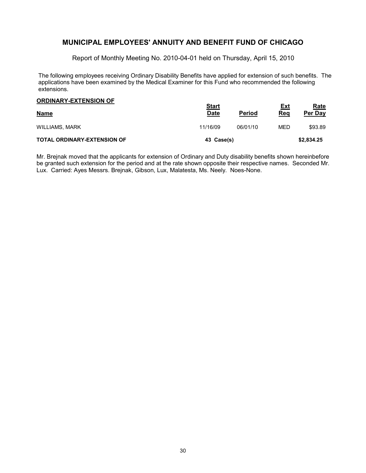Report of Monthly Meeting No. 2010-04-01 held on Thursday, April 15, 2010

The following employees receiving Ordinary Disability Benefits have applied for extension of such benefits. The applications have been examined by the Medical Examiner for this Fund who recommended the following extensions.

| <b>ORDINARY-EXTENSION OF</b>       | <u>Start</u> |               | Ext | <b>Rate</b> |
|------------------------------------|--------------|---------------|-----|-------------|
| <b>Name</b>                        | <b>Date</b>  | <b>Period</b> | Req | Per Day     |
| <b>WILLIAMS, MARK</b>              | 11/16/09     | 06/01/10      | MED | \$93.89     |
| <b>TOTAL ORDINARY-EXTENSION OF</b> | 43 Case(s)   |               |     | \$2,834.25  |

Mr. Brejnak moved that the applicants for extension of Ordinary and Duty disability benefits shown hereinbefore be granted such extension for the period and at the rate shown opposite their respective names. Seconded Mr. Lux. Carried: Ayes Messrs. Brejnak, Gibson, Lux, Malatesta, Ms. Neely. Noes-None.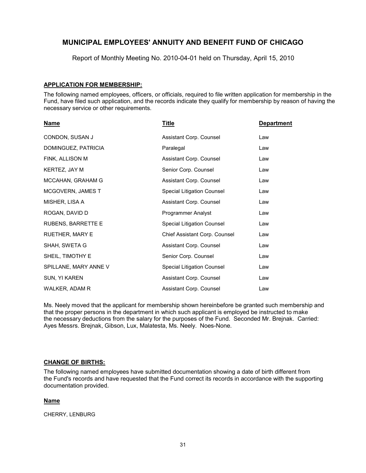Report of Monthly Meeting No. 2010-04-01 held on Thursday, April 15, 2010

#### **APPLICATION FOR MEMBERSHIP:**

The following named employees, officers, or officials, required to file written application for membership in the Fund, have filed such application, and the records indicate they qualify for membership by reason of having the necessary service or other requirements.

| Name                   | Title                         | <b>Department</b> |
|------------------------|-------------------------------|-------------------|
| CONDON, SUSAN J        | Assistant Corp. Counsel       | Law               |
| DOMINGUEZ, PATRICIA    | Paralegal                     | Law               |
| FINK, ALLISON M        | Assistant Corp. Counsel       | Law               |
| KERTEZ, JAY M          | Senior Corp. Counsel          | Law               |
| MCCAHAN, GRAHAM G      | Assistant Corp. Counsel       | Law               |
| MCGOVERN, JAMES T      | Special Litigation Counsel    | Law               |
| MISHER, LISA A         | Assistant Corp. Counsel       | Law               |
| ROGAN, DAVID D         | Programmer Analyst            | Law               |
| RUBENS, BARRETTE E     | Special Litigation Counsel    | Law               |
| <b>RUETHER, MARY E</b> | Chief Assistant Corp. Counsel | Law               |
| SHAH, SWETA G          | Assistant Corp. Counsel       | Law               |
| SHEIL, TIMOTHY E       | Senior Corp. Counsel          | Law               |
| SPILLANE, MARY ANNE V  | Special Litigation Counsel    | Law               |
| SUN, YI KAREN          | Assistant Corp. Counsel       | Law               |
| WALKER, ADAM R         | Assistant Corp. Counsel       | Law               |

Ms. Neely moved that the applicant for membership shown hereinbefore be granted such membership and that the proper persons in the department in which such applicant is employed be instructed to make the necessary deductions from the salary for the purposes of the Fund. Seconded Mr. Brejnak. Carried: Ayes Messrs. Brejnak, Gibson, Lux, Malatesta, Ms. Neely. Noes-None.

#### **CHANGE OF BIRTHS:**

The following named employees have submitted documentation showing a date of birth different from the Fund's records and have requested that the Fund correct its records in accordance with the supporting documentation provided.

### **Name**

CHERRY, LENBURG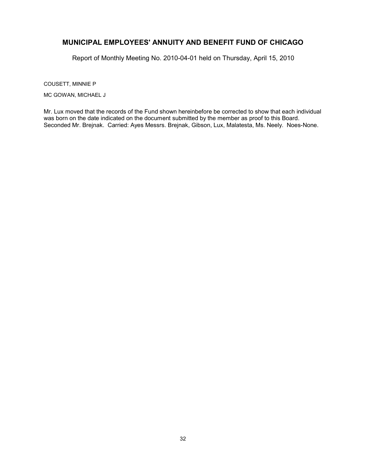Report of Monthly Meeting No. 2010-04-01 held on Thursday, April 15, 2010

COUSETT, MINNIE P

MC GOWAN, MICHAEL J

Mr. Lux moved that the records of the Fund shown hereinbefore be corrected to show that each individual was born on the date indicated on the document submitted by the member as proof to this Board. Seconded Mr. Brejnak. Carried: Ayes Messrs. Brejnak, Gibson, Lux, Malatesta, Ms. Neely. Noes-None.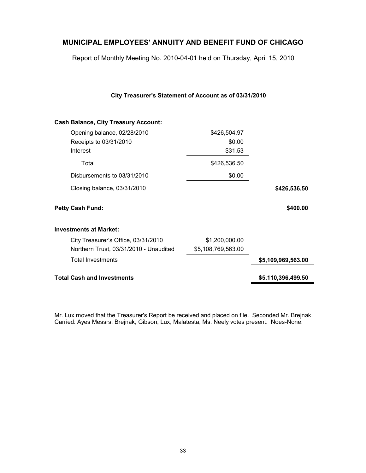Report of Monthly Meeting No. 2010-04-01 held on Thursday, April 15, 2010

**City Treasurer's Statement of Account as of 03/31/2010**

| <b>Cash Balance, City Treasury Account:</b> |                    |                    |
|---------------------------------------------|--------------------|--------------------|
| Opening balance, 02/28/2010                 | \$426,504.97       |                    |
| Receipts to 03/31/2010                      | \$0.00             |                    |
| Interest                                    | \$31.53            |                    |
| Total                                       | \$426,536.50       |                    |
| Disbursements to 03/31/2010                 | \$0.00             |                    |
| Closing balance, 03/31/2010                 |                    | \$426,536.50       |
| <b>Petty Cash Fund:</b>                     |                    | \$400.00           |
| <b>Investments at Market:</b>               |                    |                    |
| City Treasurer's Office, 03/31/2010         | \$1,200,000.00     |                    |
| Northern Trust, 03/31/2010 - Unaudited      | \$5,108,769,563.00 |                    |
| <b>Total Investments</b>                    |                    | \$5,109,969,563.00 |
| <b>Total Cash and Investments</b>           |                    | \$5,110,396,499.50 |
|                                             |                    |                    |

Mr. Lux moved that the Treasurer's Report be received and placed on file. Seconded Mr. Brejnak. Carried: Ayes Messrs. Brejnak, Gibson, Lux, Malatesta, Ms. Neely votes present. Noes-None.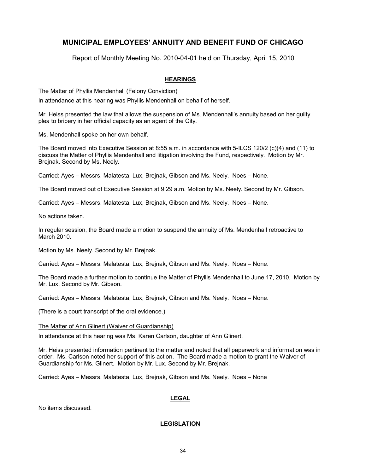Report of Monthly Meeting No. 2010-04-01 held on Thursday, April 15, 2010

### **HEARINGS**

The Matter of Phyllis Mendenhall (Felony Conviction)

In attendance at this hearing was Phyllis Mendenhall on behalf of herself.

Mr. Heiss presented the law that allows the suspension of Ms. Mendenhall's annuity based on her guilty plea to bribery in her official capacity as an agent of the City.

Ms. Mendenhall spoke on her own behalf.

The Board moved into Executive Session at 8:55 a.m. in accordance with 5-ILCS 120/2 (c)(4) and (11) to discuss the Matter of Phyllis Mendenhall and litigation involving the Fund, respectively. Motion by Mr. Brejnak. Second by Ms. Neely.

Carried: Ayes – Messrs. Malatesta, Lux, Brejnak, Gibson and Ms. Neely. Noes – None.

The Board moved out of Executive Session at 9:29 a.m. Motion by Ms. Neely. Second by Mr. Gibson.

Carried: Ayes – Messrs. Malatesta, Lux, Brejnak, Gibson and Ms. Neely. Noes – None.

No actions taken.

In regular session, the Board made a motion to suspend the annuity of Ms. Mendenhall retroactive to March 2010.

Motion by Ms. Neely. Second by Mr. Brejnak.

Carried: Ayes – Messrs. Malatesta, Lux, Brejnak, Gibson and Ms. Neely. Noes – None.

The Board made a further motion to continue the Matter of Phyllis Mendenhall to June 17, 2010. Motion by Mr. Lux. Second by Mr. Gibson.

Carried: Ayes – Messrs. Malatesta, Lux, Brejnak, Gibson and Ms. Neely. Noes – None.

(There is a court transcript of the oral evidence.)

The Matter of Ann Glinert (Waiver of Guardianship)

In attendance at this hearing was Ms. Karen Carlson, daughter of Ann Glinert.

Mr. Heiss presented information pertinent to the matter and noted that all paperwork and information was in order. Ms. Carlson noted her support of this action. The Board made a motion to grant the Waiver of Guardianship for Ms. Glinert. Motion by Mr. Lux. Second by Mr. Brejnak.

Carried: Ayes – Messrs. Malatesta, Lux, Brejnak, Gibson and Ms. Neely. Noes – None

### **LEGAL**

No items discussed.

### **LEGISLATION**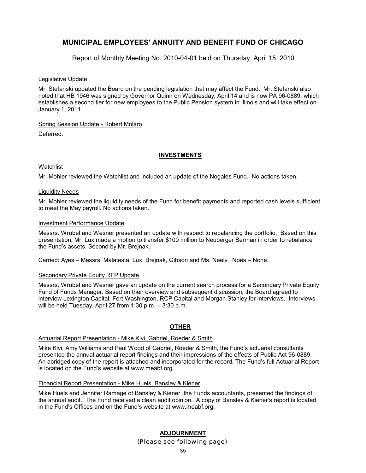Report of Monthly Meeting No. 2010-04-01 held on Thursday, April 15, 2010

#### Legislative Update

Mr. Stefanski updated the Board on the pending legislation that may affect the Fund. Mr. Stefanski also noted that HB 1946 was signed by Governor Quinn on Wednesday, April 14 and is now PA 96-0889, which establishes a second tier for new employees to the Public Pension system in Illinois and will take effect on January 1, 2011.

#### Spring Session Update - Robert Molaro

Deferred.

#### **INVESTMENTS**

#### **Watchlist**

Mr. Mohler reviewed the Watchlist and included an update of the Nogales Fund. No actions taken.

#### Liquidity Needs

Mr. Mohler reviewed the liquidity needs of the Fund for benefit payments and reported cash levels sufficient to meet the May payroll. No actions taken.

#### Investment Performance Update

Messrs. Wrubel and Wesner presented an update with respect to rebalancing the portfolio. Based on this presentation, Mr. Lux made a motion to transfer \$100 million to Neuberger Berman in order to rebalance the Fund's assets. Second by Mr. Brejnak.

Carried: Ayes – Messrs. Malatesta, Lux, Brejnak, Gibson and Ms. Neely. Noes – None.

#### Secondary Private Equity RFP Update

Messrs. Wrubel and Wesner gave an update on the current search process for a Secondary Private Equity Fund of Funds Manager. Based on their overview and subsequent discussion, the Board agreed to interview Lexington Capital, Fort Washington, RCP Capital and Morgan Stanley for interviews. Interviews will be held Tuesday, April 27 from 1:30 p.m. – 3:30 p.m.

### **OTHER**

#### Actuarial Report Presentation - Mike Kivi, Gabriel, Roeder & Smith

Mike Kivi, Amy Williams and Paul Wood of Gabriel, Roeder & Smith, the Fund's actuarial consultants presented the annual actuarial report findings and their impressions of the effects of Public Act 96-0889. An abridged copy of the report is attached and incorporated for the record. The Fund's full Actuarial Report is located on the Fund's website at www.meabf.org.

#### Financial Report Presentation - Mike Huels, Bansley & Kiener

Mike Huels and Jennifer Ramage of Bansley & Kiener, the Funds accountants, presented the findings of the annual audit. The Fund received a clean audit opinion. A copy of Bansley & Kiener's report is located in the Fund's Offices and on the Fund's website at www.meabf.org.

### **ADJOURNMENT** *(Please see following page)*